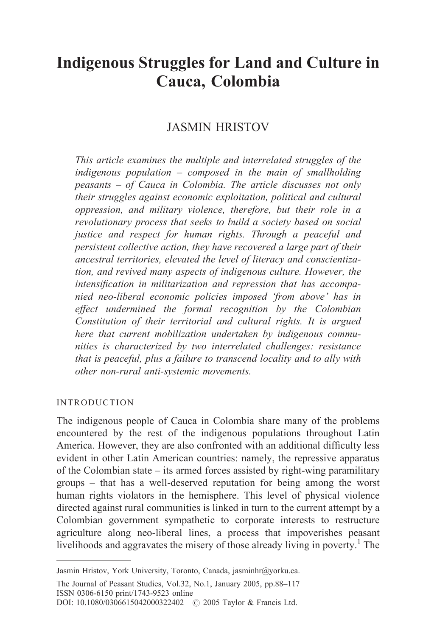# Indigenous Struggles for Land and Culture in Cauca, Colombia

# JASMIN HRISTOV

This article examines the multiple and interrelated struggles of the indigenous population – composed in the main of smallholding peasants – of Cauca in Colombia. The article discusses not only their struggles against economic exploitation, political and cultural oppression, and military violence, therefore, but their role in a revolutionary process that seeks to build a society based on social justice and respect for human rights. Through a peaceful and persistent collective action, they have recovered a large part of their ancestral territories, elevated the level of literacy and conscientization, and revived many aspects of indigenous culture. However, the intensification in militarization and repression that has accompanied neo-liberal economic policies imposed 'from above' has in effect undermined the formal recognition by the Colombian Constitution of their territorial and cultural rights. It is argued here that current mobilization undertaken by indigenous communities is characterized by two interrelated challenges: resistance that is peaceful, plus a failure to transcend locality and to ally with other non-rural anti-systemic movements.

## INTRODUCTION

The indigenous people of Cauca in Colombia share many of the problems encountered by the rest of the indigenous populations throughout Latin America. However, they are also confronted with an additional difficulty less evident in other Latin American countries: namely, the repressive apparatus of the Colombian state – its armed forces assisted by right-wing paramilitary groups – that has a well-deserved reputation for being among the worst human rights violators in the hemisphere. This level of physical violence directed against rural communities is linked in turn to the current attempt by a Colombian government sympathetic to corporate interests to restructure agriculture along neo-liberal lines, a process that impoverishes peasant livelihoods and aggravates the misery of those already living in poverty.<sup>1</sup> The

The Journal of Peasant Studies, Vol.32, No.1, January 2005, pp.88–117 ISSN 0306-6150 print/1743-9523 online

Jasmin Hristov, York University, Toronto, Canada, jasminhr@yorku.ca.

DOI: 10.1080/0306615042000322402 # 2005 Taylor & Francis Ltd.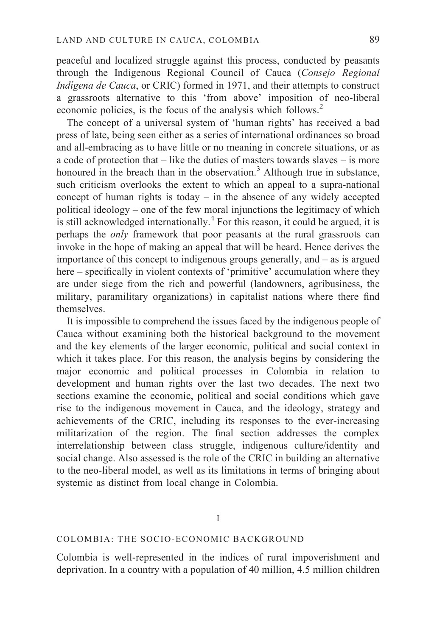peaceful and localized struggle against this process, conducted by peasants through the Indigenous Regional Council of Cauca (Consejo Regional Indígena de Cauca, or CRIC) formed in 1971, and their attempts to construct a grassroots alternative to this 'from above' imposition of neo-liberal economic policies, is the focus of the analysis which follows.<sup>2</sup>

The concept of a universal system of 'human rights' has received a bad press of late, being seen either as a series of international ordinances so broad and all-embracing as to have little or no meaning in concrete situations, or as a code of protection that – like the duties of masters towards slaves – is more honoured in the breach than in the observation.<sup>3</sup> Although true in substance, such criticism overlooks the extent to which an appeal to a supra-national concept of human rights is today – in the absence of any widely accepted political ideology – one of the few moral injunctions the legitimacy of which is still acknowledged internationally.<sup>4</sup> For this reason, it could be argued, it is perhaps the only framework that poor peasants at the rural grassroots can invoke in the hope of making an appeal that will be heard. Hence derives the importance of this concept to indigenous groups generally, and – as is argued here – specifically in violent contexts of 'primitive' accumulation where they are under siege from the rich and powerful (landowners, agribusiness, the military, paramilitary organizations) in capitalist nations where there find themselves.

It is impossible to comprehend the issues faced by the indigenous people of Cauca without examining both the historical background to the movement and the key elements of the larger economic, political and social context in which it takes place. For this reason, the analysis begins by considering the major economic and political processes in Colombia in relation to development and human rights over the last two decades. The next two sections examine the economic, political and social conditions which gave rise to the indigenous movement in Cauca, and the ideology, strategy and achievements of the CRIC, including its responses to the ever-increasing militarization of the region. The final section addresses the complex interrelationship between class struggle, indigenous culture/identity and social change. Also assessed is the role of the CRIC in building an alternative to the neo-liberal model, as well as its limitations in terms of bringing about systemic as distinct from local change in Colombia.

I

#### COLOMBIA: THE SOCIO-ECONOMIC BACKGROUND

Colombia is well-represented in the indices of rural impoverishment and deprivation. In a country with a population of 40 million, 4.5 million children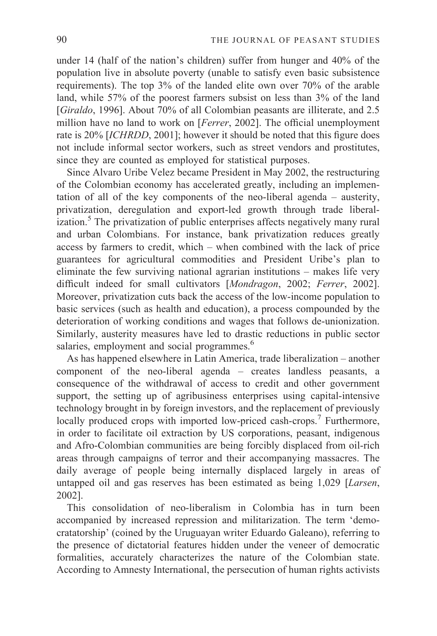under 14 (half of the nation's children) suffer from hunger and 40% of the population live in absolute poverty (unable to satisfy even basic subsistence requirements). The top 3% of the landed elite own over 70% of the arable land, while 57% of the poorest farmers subsist on less than 3% of the land [Giraldo, 1996]. About 70% of all Colombian peasants are illiterate, and 2.5 million have no land to work on [Ferrer, 2002]. The official unemployment rate is 20% [ICHRDD, 2001]; however it should be noted that this figure does not include informal sector workers, such as street vendors and prostitutes, since they are counted as employed for statistical purposes.

Since Alvaro Uribe Velez became President in May 2002, the restructuring of the Colombian economy has accelerated greatly, including an implementation of all of the key components of the neo-liberal agenda – austerity, privatization, deregulation and export-led growth through trade liberalization.<sup>5</sup> The privatization of public enterprises affects negatively many rural and urban Colombians. For instance, bank privatization reduces greatly access by farmers to credit, which – when combined with the lack of price guarantees for agricultural commodities and President Uribe's plan to eliminate the few surviving national agrarian institutions – makes life very difficult indeed for small cultivators [Mondragon, 2002; Ferrer, 2002]. Moreover, privatization cuts back the access of the low-income population to basic services (such as health and education), a process compounded by the deterioration of working conditions and wages that follows de-unionization. Similarly, austerity measures have led to drastic reductions in public sector salaries, employment and social programmes.<sup>6</sup>

As has happened elsewhere in Latin America, trade liberalization – another component of the neo-liberal agenda – creates landless peasants, a consequence of the withdrawal of access to credit and other government support, the setting up of agribusiness enterprises using capital-intensive technology brought in by foreign investors, and the replacement of previously locally produced crops with imported low-priced cash-crops.<sup>7</sup> Furthermore, in order to facilitate oil extraction by US corporations, peasant, indigenous and Afro-Colombian communities are being forcibly displaced from oil-rich areas through campaigns of terror and their accompanying massacres. The daily average of people being internally displaced largely in areas of untapped oil and gas reserves has been estimated as being 1,029 [Larsen, 2002].

This consolidation of neo-liberalism in Colombia has in turn been accompanied by increased repression and militarization. The term 'democratatorship' (coined by the Uruguayan writer Eduardo Galeano), referring to the presence of dictatorial features hidden under the veneer of democratic formalities, accurately characterizes the nature of the Colombian state. According to Amnesty International, the persecution of human rights activists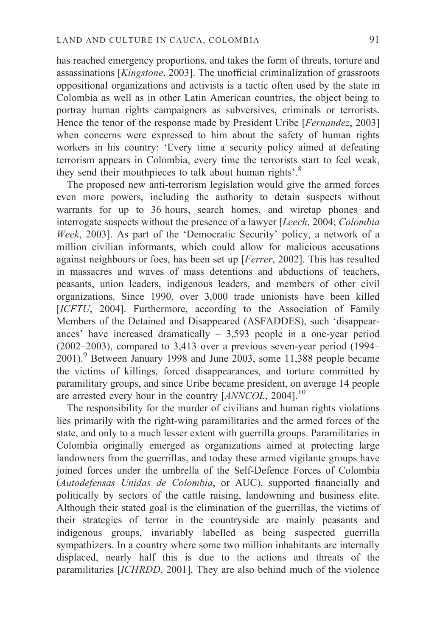has reached emergency proportions, and takes the form of threats, torture and assassinations [Kingstone, 2003]. The unofficial criminalization of grassroots oppositional organizations and activists is a tactic often used by the state in Colombia as well as in other Latin American countries, the object being to portray human rights campaigners as subversives, criminals or terrorists. Hence the tenor of the response made by President Uribe [Fernandez, 2003] when concerns were expressed to him about the safety of human rights workers in his country: 'Every time a security policy aimed at defeating terrorism appears in Colombia, every time the terrorists start to feel weak, they send their mouthpieces to talk about human rights'.<sup>8</sup>

The proposed new anti-terrorism legislation would give the armed forces even more powers, including the authority to detain suspects without warrants for up to 36 hours, search homes, and wiretap phones and interrogate suspects without the presence of a lawyer [Leech, 2004; Colombia Week, 2003]. As part of the 'Democratic Security' policy, a network of a million civilian informants, which could allow for malicious accusations against neighbours or foes, has been set up [Ferrer, 2002]. This has resulted in massacres and waves of mass detentions and abductions of teachers, peasants, union leaders, indigenous leaders, and members of other civil organizations. Since 1990, over 3,000 trade unionists have been killed [ICFTU, 2004]. Furthermore, according to the Association of Family Members of the Detained and Disappeared (ASFADDES), such 'disappearances' have increased dramatically – 3,593 people in a one-year period (2002–2003), compared to 3,413 over a previous seven-year period (1994– 2001).<sup>9</sup> Between January 1998 and June 2003, some 11,388 people became the victims of killings, forced disappearances, and torture committed by paramilitary groups, and since Uribe became president, on average 14 people are arrested every hour in the country  $[ANNCOL, 2004]$ .<sup>10</sup>

The responsibility for the murder of civilians and human rights violations lies primarily with the right-wing paramilitaries and the armed forces of the state, and only to a much lesser extent with guerrilla groups. Paramilitaries in Colombia originally emerged as organizations aimed at protecting large landowners from the guerrillas, and today these armed vigilante groups have joined forces under the umbrella of the Self-Defence Forces of Colombia (Autodefensas Unidas de Colombia, or AUC), supported financially and politically by sectors of the cattle raising, landowning and business elite. Although their stated goal is the elimination of the guerrillas, the victims of their strategies of terror in the countryside are mainly peasants and indigenous groups, invariably labelled as being suspected guerrilla sympathizers. In a country where some two million inhabitants are internally displaced, nearly half this is due to the actions and threats of the paramilitaries [ICHRDD, 2001]. They are also behind much of the violence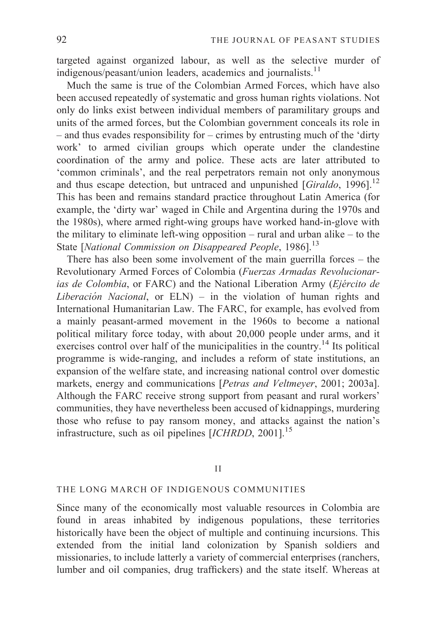targeted against organized labour, as well as the selective murder of indigenous/peasant/union leaders, academics and journalists. $11$ 

Much the same is true of the Colombian Armed Forces, which have also been accused repeatedly of systematic and gross human rights violations. Not only do links exist between individual members of paramilitary groups and units of the armed forces, but the Colombian government conceals its role in – and thus evades responsibility for – crimes by entrusting much of the 'dirty work' to armed civilian groups which operate under the clandestine coordination of the army and police. These acts are later attributed to 'common criminals', and the real perpetrators remain not only anonymous and thus escape detection, but untraced and unpunished  $[Giraldo, 1996]$ .<sup>12</sup> This has been and remains standard practice throughout Latin America (for example, the 'dirty war' waged in Chile and Argentina during the 1970s and the 1980s), where armed right-wing groups have worked hand-in-glove with the military to eliminate left-wing opposition – rural and urban alike – to the State [National Commission on Disappeared People, 1986].<sup>13</sup>

There has also been some involvement of the main guerrilla forces – the Revolutionary Armed Forces of Colombia (Fuerzas Armadas Revolucionarias de Colombia, or FARC) and the National Liberation Army (Ejército de Liberación Nacional, or  $ELN$ ) – in the violation of human rights and International Humanitarian Law. The FARC, for example, has evolved from a mainly peasant-armed movement in the 1960s to become a national political military force today, with about 20,000 people under arms, and it exercises control over half of the municipalities in the country.<sup>14</sup> Its political programme is wide-ranging, and includes a reform of state institutions, an expansion of the welfare state, and increasing national control over domestic markets, energy and communications [Petras and Veltmeyer, 2001; 2003a]. Although the FARC receive strong support from peasant and rural workers' communities, they have nevertheless been accused of kidnappings, murdering those who refuse to pay ransom money, and attacks against the nation's infrastructure, such as oil pipelines [ICHRDD, 2001].<sup>15</sup>

I I

#### THE LONG MARCH OF INDIGENOUS COMMUNITIES

Since many of the economically most valuable resources in Colombia are found in areas inhabited by indigenous populations, these territories historically have been the object of multiple and continuing incursions. This extended from the initial land colonization by Spanish soldiers and missionaries, to include latterly a variety of commercial enterprises (ranchers, lumber and oil companies, drug traffickers) and the state itself. Whereas at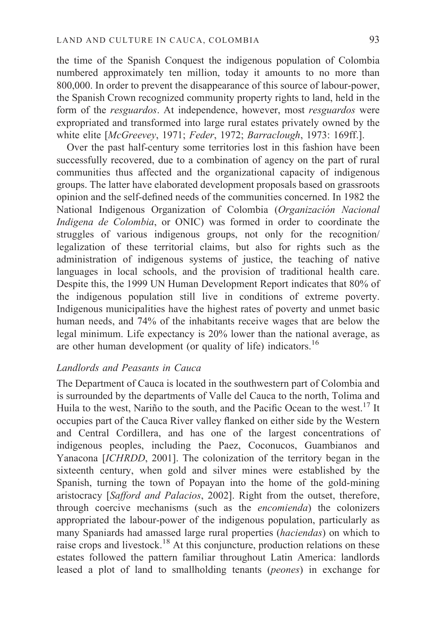the time of the Spanish Conquest the indigenous population of Colombia numbered approximately ten million, today it amounts to no more than 800,000. In order to prevent the disappearance of this source of labour-power, the Spanish Crown recognized community property rights to land, held in the form of the resguardos. At independence, however, most resguardos were expropriated and transformed into large rural estates privately owned by the white elite [McGreevey, 1971; Feder, 1972; Barraclough, 1973: 169ff.].

Over the past half-century some territories lost in this fashion have been successfully recovered, due to a combination of agency on the part of rural communities thus affected and the organizational capacity of indigenous groups. The latter have elaborated development proposals based on grassroots opinion and the self-defined needs of the communities concerned. In 1982 the National Indigenous Organization of Colombia (Organización Nacional Indigena de Colombia, or ONIC) was formed in order to coordinate the struggles of various indigenous groups, not only for the recognition/ legalization of these territorial claims, but also for rights such as the administration of indigenous systems of justice, the teaching of native languages in local schools, and the provision of traditional health care. Despite this, the 1999 UN Human Development Report indicates that 80% of the indigenous population still live in conditions of extreme poverty. Indigenous municipalities have the highest rates of poverty and unmet basic human needs, and 74% of the inhabitants receive wages that are below the legal minimum. Life expectancy is 20% lower than the national average, as are other human development (or quality of life) indicators.<sup>16</sup>

# Landlords and Peasants in Cauca

The Department of Cauca is located in the southwestern part of Colombia and is surrounded by the departments of Valle del Cauca to the north, Tolima and Huila to the west, Nariño to the south, and the Pacific Ocean to the west.<sup>17</sup> It occupies part of the Cauca River valley flanked on either side by the Western and Central Cordillera, and has one of the largest concentrations of indigenous peoples, including the Paez, Coconucos, Guambianos and Yanacona [ICHRDD, 2001]. The colonization of the territory began in the sixteenth century, when gold and silver mines were established by the Spanish, turning the town of Popayan into the home of the gold-mining aristocracy [Safford and Palacios, 2002]. Right from the outset, therefore, through coercive mechanisms (such as the encomienda) the colonizers appropriated the labour-power of the indigenous population, particularly as many Spaniards had amassed large rural properties (haciendas) on which to raise crops and livestock.<sup>18</sup> At this conjuncture, production relations on these estates followed the pattern familiar throughout Latin America: landlords leased a plot of land to smallholding tenants (peones) in exchange for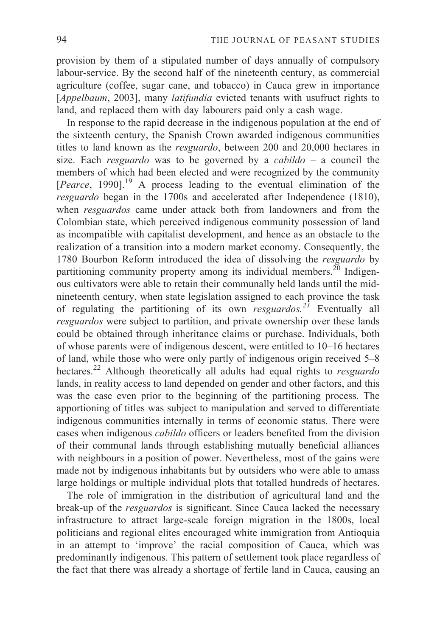provision by them of a stipulated number of days annually of compulsory labour-service. By the second half of the nineteenth century, as commercial agriculture (coffee, sugar cane, and tobacco) in Cauca grew in importance [Appelbaum, 2003], many latifundia evicted tenants with usufruct rights to land, and replaced them with day labourers paid only a cash wage.

In response to the rapid decrease in the indigenous population at the end of the sixteenth century, the Spanish Crown awarded indigenous communities titles to land known as the resguardo, between 200 and 20,000 hectares in size. Each *resguardo* was to be governed by a *cabildo* – a council the members of which had been elected and were recognized by the community [Pearce, 1990].<sup>19</sup> A process leading to the eventual elimination of the resguardo began in the 1700s and accelerated after Independence (1810), when resguardos came under attack both from landowners and from the Colombian state, which perceived indigenous community possession of land as incompatible with capitalist development, and hence as an obstacle to the realization of a transition into a modern market economy. Consequently, the 1780 Bourbon Reform introduced the idea of dissolving the resguardo by partitioning community property among its individual members.<sup>20</sup> Indigenous cultivators were able to retain their communally held lands until the midnineteenth century, when state legislation assigned to each province the task of regulating the partitioning of its own  $resguardos.<sup>21</sup>$  Eventually all resguardos were subject to partition, and private ownership over these lands could be obtained through inheritance claims or purchase. Individuals, both of whose parents were of indigenous descent, were entitled to 10–16 hectares of land, while those who were only partly of indigenous origin received 5–8 hectares.<sup>22</sup> Although theoretically all adults had equal rights to *resguardo* lands, in reality access to land depended on gender and other factors, and this was the case even prior to the beginning of the partitioning process. The apportioning of titles was subject to manipulation and served to differentiate indigenous communities internally in terms of economic status. There were cases when indigenous cabildo officers or leaders benefited from the division of their communal lands through establishing mutually beneficial alliances with neighbours in a position of power. Nevertheless, most of the gains were made not by indigenous inhabitants but by outsiders who were able to amass large holdings or multiple individual plots that totalled hundreds of hectares.

The role of immigration in the distribution of agricultural land and the break-up of the resguardos is significant. Since Cauca lacked the necessary infrastructure to attract large-scale foreign migration in the 1800s, local politicians and regional elites encouraged white immigration from Antioquia in an attempt to 'improve' the racial composition of Cauca, which was predominantly indigenous. This pattern of settlement took place regardless of the fact that there was already a shortage of fertile land in Cauca, causing an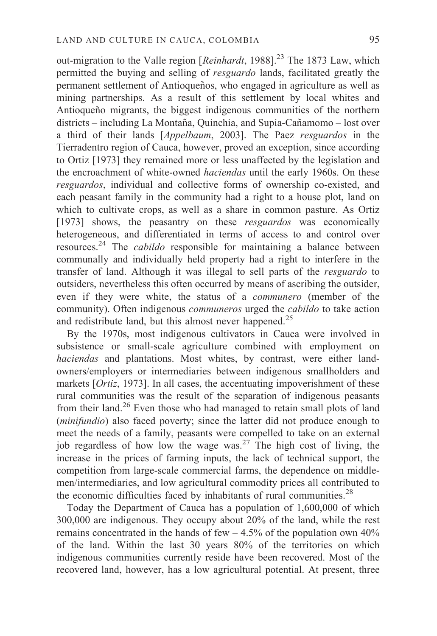out-migration to the Valle region [ $Reinhardt$ , 1988].<sup>23</sup> The 1873 Law, which permitted the buying and selling of resguardo lands, facilitated greatly the permanent settlement of Antioqueños, who engaged in agriculture as well as mining partnerships. As a result of this settlement by local whites and Antioqueño migrants, the biggest indigenous communities of the northern districts – including La Montaña, Quinchia, and Supia-Cañamomo – lost over a third of their lands [Appelbaum, 2003]. The Paez resguardos in the Tierradentro region of Cauca, however, proved an exception, since according to Ortiz [1973] they remained more or less unaffected by the legislation and the encroachment of white-owned *haciendas* until the early 1960s. On these resguardos, individual and collective forms of ownership co-existed, and each peasant family in the community had a right to a house plot, land on which to cultivate crops, as well as a share in common pasture. As Ortiz [1973] shows, the peasantry on these *resguardos* was economically heterogeneous, and differentiated in terms of access to and control over resources.24 The cabildo responsible for maintaining a balance between communally and individually held property had a right to interfere in the transfer of land. Although it was illegal to sell parts of the resguardo to outsiders, nevertheless this often occurred by means of ascribing the outsider, even if they were white, the status of a communero (member of the community). Often indigenous communeros urged the cabildo to take action and redistribute land, but this almost never happened.<sup>25</sup>

By the 1970s, most indigenous cultivators in Cauca were involved in subsistence or small-scale agriculture combined with employment on haciendas and plantations. Most whites, by contrast, were either landowners/employers or intermediaries between indigenous smallholders and markets [Ortiz, 1973]. In all cases, the accentuating impoverishment of these rural communities was the result of the separation of indigenous peasants from their land.<sup>26</sup> Even those who had managed to retain small plots of land (minifundio) also faced poverty; since the latter did not produce enough to meet the needs of a family, peasants were compelled to take on an external job regardless of how low the wage was.<sup>27</sup> The high cost of living, the increase in the prices of farming inputs, the lack of technical support, the competition from large-scale commercial farms, the dependence on middlemen/intermediaries, and low agricultural commodity prices all contributed to the economic difficulties faced by inhabitants of rural communities.<sup>28</sup>

Today the Department of Cauca has a population of 1,600,000 of which 300,000 are indigenous. They occupy about 20% of the land, while the rest remains concentrated in the hands of few  $-4.5\%$  of the population own 40% of the land. Within the last 30 years 80% of the territories on which indigenous communities currently reside have been recovered. Most of the recovered land, however, has a low agricultural potential. At present, three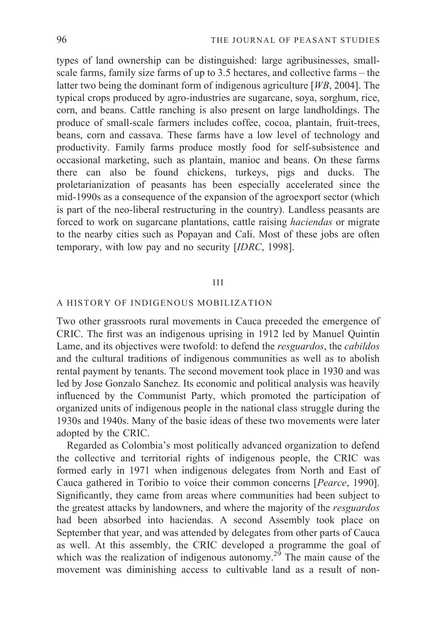types of land ownership can be distinguished: large agribusinesses, smallscale farms, family size farms of up to 3.5 hectares, and collective farms – the latter two being the dominant form of indigenous agriculture [WB, 2004]. The typical crops produced by agro-industries are sugarcane, soya, sorghum, rice, corn, and beans. Cattle ranching is also present on large landholdings. The produce of small-scale farmers includes coffee, cocoa, plantain, fruit-trees, beans, corn and cassava. These farms have a low level of technology and productivity. Family farms produce mostly food for self-subsistence and occasional marketing, such as plantain, manioc and beans. On these farms there can also be found chickens, turkeys, pigs and ducks. The proletarianization of peasants has been especially accelerated since the mid-1990s as a consequence of the expansion of the agroexport sector (which is part of the neo-liberal restructuring in the country). Landless peasants are forced to work on sugarcane plantations, cattle raising haciendas or migrate to the nearby cities such as Popayan and Cali. Most of these jobs are often temporary, with low pay and no security [IDRC, 1998].

#### III

#### A HISTORY OF INDIGENOUS MOBILIZATION

Two other grassroots rural movements in Cauca preceded the emergence of CRIC. The first was an indigenous uprising in 1912 led by Manuel Quintin Lame, and its objectives were twofold: to defend the resguardos, the cabildos and the cultural traditions of indigenous communities as well as to abolish rental payment by tenants. The second movement took place in 1930 and was led by Jose Gonzalo Sanchez. Its economic and political analysis was heavily influenced by the Communist Party, which promoted the participation of organized units of indigenous people in the national class struggle during the 1930s and 1940s. Many of the basic ideas of these two movements were later adopted by the CRIC.

Regarded as Colombia's most politically advanced organization to defend the collective and territorial rights of indigenous people, the CRIC was formed early in 1971 when indigenous delegates from North and East of Cauca gathered in Toribio to voice their common concerns [Pearce, 1990]. Significantly, they came from areas where communities had been subject to the greatest attacks by landowners, and where the majority of the resguardos had been absorbed into haciendas. A second Assembly took place on September that year, and was attended by delegates from other parts of Cauca as well. At this assembly, the CRIC developed a programme the goal of which was the realization of indigenous autonomy.<sup>29</sup> The main cause of the movement was diminishing access to cultivable land as a result of non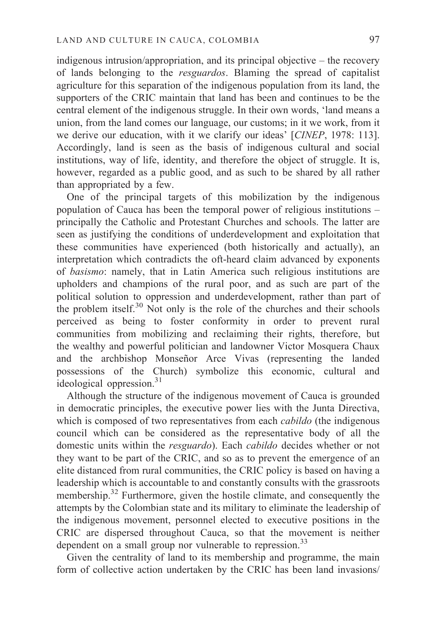indigenous intrusion/appropriation, and its principal objective – the recovery of lands belonging to the resguardos. Blaming the spread of capitalist agriculture for this separation of the indigenous population from its land, the supporters of the CRIC maintain that land has been and continues to be the central element of the indigenous struggle. In their own words, 'land means a union, from the land comes our language, our customs; in it we work, from it we derive our education, with it we clarify our ideas' [CINEP, 1978: 113]. Accordingly, land is seen as the basis of indigenous cultural and social institutions, way of life, identity, and therefore the object of struggle. It is, however, regarded as a public good, and as such to be shared by all rather than appropriated by a few.

One of the principal targets of this mobilization by the indigenous population of Cauca has been the temporal power of religious institutions – principally the Catholic and Protestant Churches and schools. The latter are seen as justifying the conditions of underdevelopment and exploitation that these communities have experienced (both historically and actually), an interpretation which contradicts the oft-heard claim advanced by exponents of basismo: namely, that in Latin America such religious institutions are upholders and champions of the rural poor, and as such are part of the political solution to oppression and underdevelopment, rather than part of the problem itself. $30$  Not only is the role of the churches and their schools perceived as being to foster conformity in order to prevent rural communities from mobilizing and reclaiming their rights, therefore, but the wealthy and powerful politician and landowner Victor Mosquera Chaux and the archbishop Monseñor Arce Vivas (representing the landed possessions of the Church) symbolize this economic, cultural and ideological oppression.<sup>31</sup>

Although the structure of the indigenous movement of Cauca is grounded in democratic principles, the executive power lies with the Junta Directiva, which is composed of two representatives from each *cabildo* (the indigenous council which can be considered as the representative body of all the domestic units within the resguardo). Each cabildo decides whether or not they want to be part of the CRIC, and so as to prevent the emergence of an elite distanced from rural communities, the CRIC policy is based on having a leadership which is accountable to and constantly consults with the grassroots membership.<sup>32</sup> Furthermore, given the hostile climate, and consequently the attempts by the Colombian state and its military to eliminate the leadership of the indigenous movement, personnel elected to executive positions in the CRIC are dispersed throughout Cauca, so that the movement is neither dependent on a small group nor vulnerable to repression.<sup>33</sup>

Given the centrality of land to its membership and programme, the main form of collective action undertaken by the CRIC has been land invasions/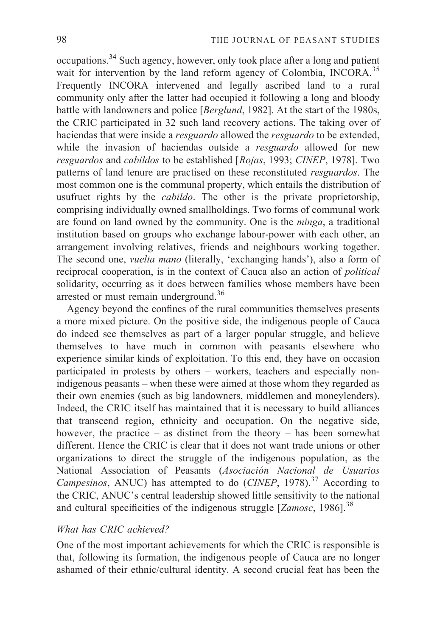occupations.<sup>34</sup> Such agency, however, only took place after a long and patient wait for intervention by the land reform agency of Colombia, INCORA.<sup>35</sup> Frequently INCORA intervened and legally ascribed land to a rural community only after the latter had occupied it following a long and bloody battle with landowners and police [Berglund, 1982]. At the start of the 1980s, the CRIC participated in 32 such land recovery actions. The taking over of haciendas that were inside a resguardo allowed the resguardo to be extended, while the invasion of haciendas outside a *resguardo* allowed for new resguardos and cabildos to be established [Rojas, 1993; CINEP, 1978]. Two patterns of land tenure are practised on these reconstituted resguardos. The most common one is the communal property, which entails the distribution of usufruct rights by the cabildo. The other is the private proprietorship, comprising individually owned smallholdings. Two forms of communal work are found on land owned by the community. One is the minga, a traditional institution based on groups who exchange labour-power with each other, an arrangement involving relatives, friends and neighbours working together. The second one, vuelta mano (literally, 'exchanging hands'), also a form of reciprocal cooperation, is in the context of Cauca also an action of political solidarity, occurring as it does between families whose members have been arrested or must remain underground.<sup>36</sup>

Agency beyond the confines of the rural communities themselves presents a more mixed picture. On the positive side, the indigenous people of Cauca do indeed see themselves as part of a larger popular struggle, and believe themselves to have much in common with peasants elsewhere who experience similar kinds of exploitation. To this end, they have on occasion participated in protests by others – workers, teachers and especially nonindigenous peasants – when these were aimed at those whom they regarded as their own enemies (such as big landowners, middlemen and moneylenders). Indeed, the CRIC itself has maintained that it is necessary to build alliances that transcend region, ethnicity and occupation. On the negative side, however, the practice – as distinct from the theory – has been somewhat different. Hence the CRIC is clear that it does not want trade unions or other organizations to direct the struggle of the indigenous population, as the National Association of Peasants (Asociación Nacional de Usuarios Campesinos, ANUC) has attempted to do  $(CINEP, 1978).$ <sup>37</sup> According to the CRIC, ANUC's central leadership showed little sensitivity to the national and cultural specificities of the indigenous struggle [ $Zamosc$ , 1986].<sup>38</sup>

## What has CRIC achieved?

One of the most important achievements for which the CRIC is responsible is that, following its formation, the indigenous people of Cauca are no longer ashamed of their ethnic/cultural identity. A second crucial feat has been the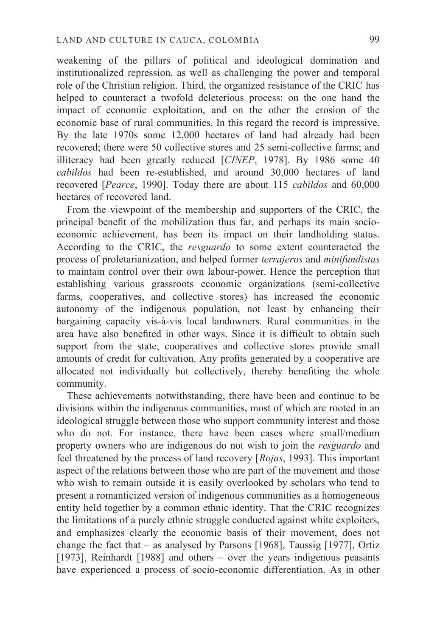weakening of the pillars of political and ideological domination and institutionalized repression, as well as challenging the power and temporal role of the Christian religion. Third, the organized resistance of the CRIC has helped to counteract a twofold deleterious process: on the one hand the impact of economic exploitation, and on the other the erosion of the economic base of rural communities. In this regard the record is impressive. By the late 1970s some 12,000 hectares of land had already had been recovered; there were 50 collective stores and 25 semi-collective farms; and illiteracy had been greatly reduced [CINEP, 1978]. By 1986 some 40 cabildos had been re-established, and around 30,000 hectares of land recovered [Pearce, 1990]. Today there are about 115 cabildos and 60,000 hectares of recovered land.

From the viewpoint of the membership and supporters of the CRIC, the principal benefit of the mobilization thus far, and perhaps its main socioeconomic achievement, has been its impact on their landholding status. According to the CRIC, the resguardo to some extent counteracted the process of proletarianization, and helped former terrajeros and minifundistas to maintain control over their own labour-power. Hence the perception that establishing various grassroots economic organizations (semi-collective farms, cooperatives, and collective stores) has increased the economic autonomy of the indigenous population, not least by enhancing their bargaining capacity vis-à-vis local landowners. Rural communities in the area have also benefited in other ways. Since it is difficult to obtain such support from the state, cooperatives and collective stores provide small amounts of credit for cultivation. Any profits generated by a cooperative are allocated not individually but collectively, thereby benefiting the whole community.

These achievements notwithstanding, there have been and continue to be divisions within the indigenous communities, most of which are rooted in an ideological struggle between those who support community interest and those who do not. For instance, there have been cases where small/medium property owners who are indigenous do not wish to join the resguardo and feel threatened by the process of land recovery [Rojas, 1993]. This important aspect of the relations between those who are part of the movement and those who wish to remain outside it is easily overlooked by scholars who tend to present a romanticized version of indigenous communities as a homogeneous entity held together by a common ethnic identity. That the CRIC recognizes the limitations of a purely ethnic struggle conducted against white exploiters, and emphasizes clearly the economic basis of their movement, does not change the fact that – as analysed by Parsons [1968], Taussig [1977], Ortiz [1973], Reinhardt [1988] and others – over the years indigenous peasants have experienced a process of socio-economic differentiation. As in other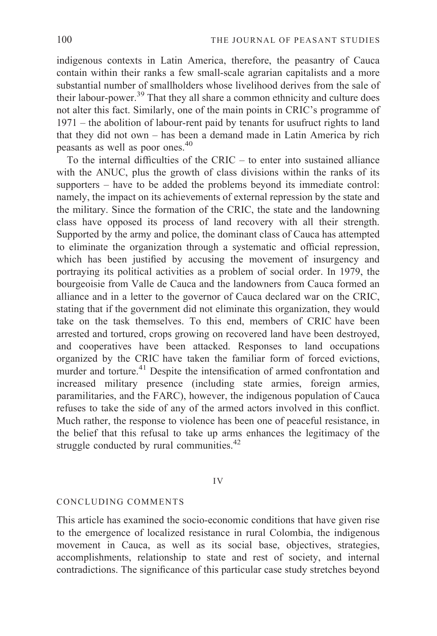indigenous contexts in Latin America, therefore, the peasantry of Cauca contain within their ranks a few small-scale agrarian capitalists and a more substantial number of smallholders whose livelihood derives from the sale of their labour-power.<sup>39</sup> That they all share a common ethnicity and culture does not alter this fact. Similarly, one of the main points in CRIC's programme of 1971 – the abolition of labour-rent paid by tenants for usufruct rights to land that they did not own – has been a demand made in Latin America by rich peasants as well as poor ones.<sup>40</sup>

To the internal difficulties of the CRIC – to enter into sustained alliance with the ANUC, plus the growth of class divisions within the ranks of its supporters – have to be added the problems beyond its immediate control: namely, the impact on its achievements of external repression by the state and the military. Since the formation of the CRIC, the state and the landowning class have opposed its process of land recovery with all their strength. Supported by the army and police, the dominant class of Cauca has attempted to eliminate the organization through a systematic and official repression, which has been justified by accusing the movement of insurgency and portraying its political activities as a problem of social order. In 1979, the bourgeoisie from Valle de Cauca and the landowners from Cauca formed an alliance and in a letter to the governor of Cauca declared war on the CRIC, stating that if the government did not eliminate this organization, they would take on the task themselves. To this end, members of CRIC have been arrested and tortured, crops growing on recovered land have been destroyed, and cooperatives have been attacked. Responses to land occupations organized by the CRIC have taken the familiar form of forced evictions, murder and torture.<sup>41</sup> Despite the intensification of armed confrontation and increased military presence (including state armies, foreign armies, paramilitaries, and the FARC), however, the indigenous population of Cauca refuses to take the side of any of the armed actors involved in this conflict. Much rather, the response to violence has been one of peaceful resistance, in the belief that this refusal to take up arms enhances the legitimacy of the struggle conducted by rural communities.<sup>42</sup>

IV

#### CONCLUDING COMMENTS

This article has examined the socio-economic conditions that have given rise to the emergence of localized resistance in rural Colombia, the indigenous movement in Cauca, as well as its social base, objectives, strategies, accomplishments, relationship to state and rest of society, and internal contradictions. The significance of this particular case study stretches beyond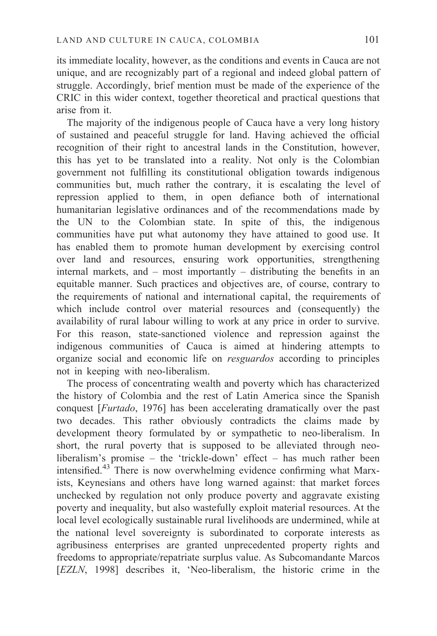its immediate locality, however, as the conditions and events in Cauca are not unique, and are recognizably part of a regional and indeed global pattern of struggle. Accordingly, brief mention must be made of the experience of the CRIC in this wider context, together theoretical and practical questions that arise from it.

The majority of the indigenous people of Cauca have a very long history of sustained and peaceful struggle for land. Having achieved the official recognition of their right to ancestral lands in the Constitution, however, this has yet to be translated into a reality. Not only is the Colombian government not fulfilling its constitutional obligation towards indigenous communities but, much rather the contrary, it is escalating the level of repression applied to them, in open defiance both of international humanitarian legislative ordinances and of the recommendations made by the UN to the Colombian state. In spite of this, the indigenous communities have put what autonomy they have attained to good use. It has enabled them to promote human development by exercising control over land and resources, ensuring work opportunities, strengthening internal markets, and – most importantly – distributing the benefits in an equitable manner. Such practices and objectives are, of course, contrary to the requirements of national and international capital, the requirements of which include control over material resources and (consequently) the availability of rural labour willing to work at any price in order to survive. For this reason, state-sanctioned violence and repression against the indigenous communities of Cauca is aimed at hindering attempts to organize social and economic life on resguardos according to principles not in keeping with neo-liberalism.

The process of concentrating wealth and poverty which has characterized the history of Colombia and the rest of Latin America since the Spanish conquest [Furtado, 1976] has been accelerating dramatically over the past two decades. This rather obviously contradicts the claims made by development theory formulated by or sympathetic to neo-liberalism. In short, the rural poverty that is supposed to be alleviated through neoliberalism's promise – the 'trickle-down' effect – has much rather been intensified.<sup>43</sup> There is now overwhelming evidence confirming what Marxists, Keynesians and others have long warned against: that market forces unchecked by regulation not only produce poverty and aggravate existing poverty and inequality, but also wastefully exploit material resources. At the local level ecologically sustainable rural livelihoods are undermined, while at the national level sovereignty is subordinated to corporate interests as agribusiness enterprises are granted unprecedented property rights and freedoms to appropriate/repatriate surplus value. As Subcomandante Marcos [EZLN, 1998] describes it, 'Neo-liberalism, the historic crime in the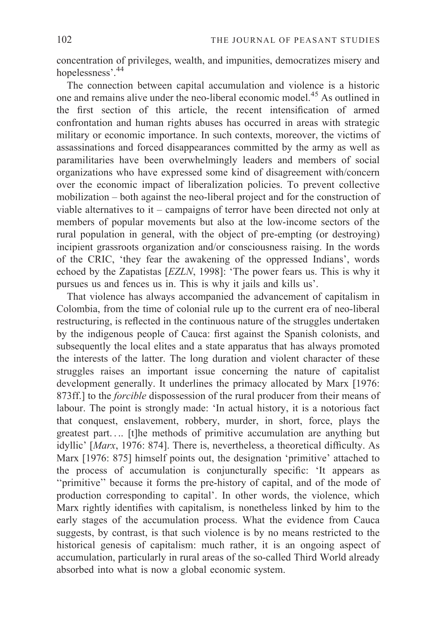concentration of privileges, wealth, and impunities, democratizes misery and hopelessness'.<sup>44</sup>

The connection between capital accumulation and violence is a historic one and remains alive under the neo-liberal economic model.<sup>45</sup> As outlined in the first section of this article, the recent intensification of armed confrontation and human rights abuses has occurred in areas with strategic military or economic importance. In such contexts, moreover, the victims of assassinations and forced disappearances committed by the army as well as paramilitaries have been overwhelmingly leaders and members of social organizations who have expressed some kind of disagreement with/concern over the economic impact of liberalization policies. To prevent collective mobilization – both against the neo-liberal project and for the construction of viable alternatives to it – campaigns of terror have been directed not only at members of popular movements but also at the low-income sectors of the rural population in general, with the object of pre-empting (or destroying) incipient grassroots organization and/or consciousness raising. In the words of the CRIC, 'they fear the awakening of the oppressed Indians', words echoed by the Zapatistas [EZLN, 1998]: 'The power fears us. This is why it pursues us and fences us in. This is why it jails and kills us'.

That violence has always accompanied the advancement of capitalism in Colombia, from the time of colonial rule up to the current era of neo-liberal restructuring, is reflected in the continuous nature of the struggles undertaken by the indigenous people of Cauca: first against the Spanish colonists, and subsequently the local elites and a state apparatus that has always promoted the interests of the latter. The long duration and violent character of these struggles raises an important issue concerning the nature of capitalist development generally. It underlines the primacy allocated by Marx [1976: 873ff.] to the forcible dispossession of the rural producer from their means of labour. The point is strongly made: 'In actual history, it is a notorious fact that conquest, enslavement, robbery, murder, in short, force, plays the greatest part.... [t]he methods of primitive accumulation are anything but idyllic' [Marx, 1976: 874]. There is, nevertheless, a theoretical difficulty. As Marx [1976: 875] himself points out, the designation 'primitive' attached to the process of accumulation is conjuncturally specific: 'It appears as ''primitive'' because it forms the pre-history of capital, and of the mode of production corresponding to capital'. In other words, the violence, which Marx rightly identifies with capitalism, is nonetheless linked by him to the early stages of the accumulation process. What the evidence from Cauca suggests, by contrast, is that such violence is by no means restricted to the historical genesis of capitalism: much rather, it is an ongoing aspect of accumulation, particularly in rural areas of the so-called Third World already absorbed into what is now a global economic system.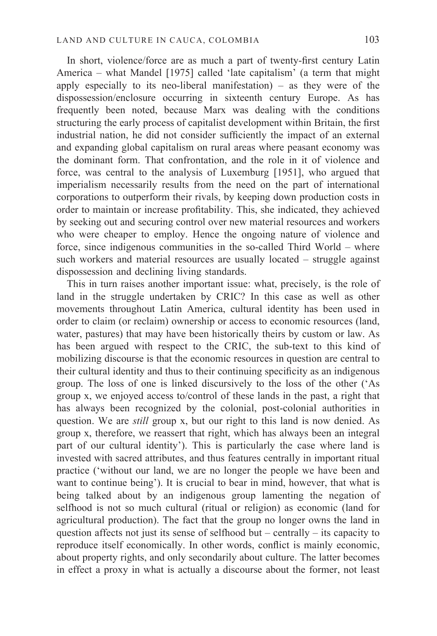In short, violence/force are as much a part of twenty-first century Latin America – what Mandel [1975] called 'late capitalism' (a term that might apply especially to its neo-liberal manifestation) – as they were of the dispossession/enclosure occurring in sixteenth century Europe. As has frequently been noted, because Marx was dealing with the conditions structuring the early process of capitalist development within Britain, the first industrial nation, he did not consider sufficiently the impact of an external and expanding global capitalism on rural areas where peasant economy was the dominant form. That confrontation, and the role in it of violence and force, was central to the analysis of Luxemburg [1951], who argued that imperialism necessarily results from the need on the part of international corporations to outperform their rivals, by keeping down production costs in order to maintain or increase profitability. This, she indicated, they achieved by seeking out and securing control over new material resources and workers who were cheaper to employ. Hence the ongoing nature of violence and force, since indigenous communities in the so-called Third World – where such workers and material resources are usually located – struggle against dispossession and declining living standards.

This in turn raises another important issue: what, precisely, is the role of land in the struggle undertaken by CRIC? In this case as well as other movements throughout Latin America, cultural identity has been used in order to claim (or reclaim) ownership or access to economic resources (land, water, pastures) that may have been historically theirs by custom or law. As has been argued with respect to the CRIC, the sub-text to this kind of mobilizing discourse is that the economic resources in question are central to their cultural identity and thus to their continuing specificity as an indigenous group. The loss of one is linked discursively to the loss of the other ('As group x, we enjoyed access to/control of these lands in the past, a right that has always been recognized by the colonial, post-colonial authorities in question. We are *still* group x, but our right to this land is now denied. As group x, therefore, we reassert that right, which has always been an integral part of our cultural identity'). This is particularly the case where land is invested with sacred attributes, and thus features centrally in important ritual practice ('without our land, we are no longer the people we have been and want to continue being'). It is crucial to bear in mind, however, that what is being talked about by an indigenous group lamenting the negation of selfhood is not so much cultural (ritual or religion) as economic (land for agricultural production). The fact that the group no longer owns the land in question affects not just its sense of selfhood but – centrally – its capacity to reproduce itself economically. In other words, conflict is mainly economic, about property rights, and only secondarily about culture. The latter becomes in effect a proxy in what is actually a discourse about the former, not least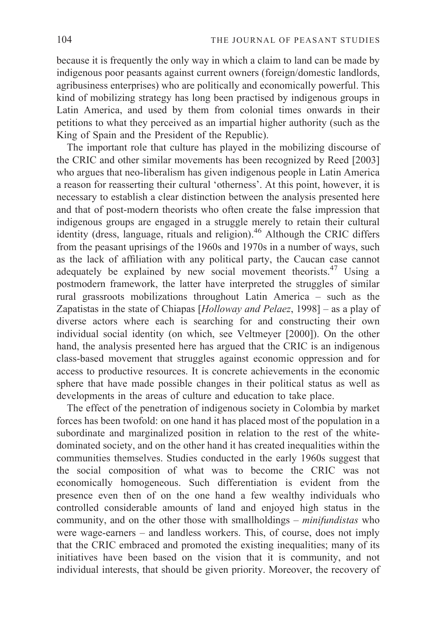because it is frequently the only way in which a claim to land can be made by indigenous poor peasants against current owners (foreign/domestic landlords, agribusiness enterprises) who are politically and economically powerful. This kind of mobilizing strategy has long been practised by indigenous groups in Latin America, and used by them from colonial times onwards in their petitions to what they perceived as an impartial higher authority (such as the King of Spain and the President of the Republic).

The important role that culture has played in the mobilizing discourse of the CRIC and other similar movements has been recognized by Reed [2003] who argues that neo-liberalism has given indigenous people in Latin America a reason for reasserting their cultural 'otherness'. At this point, however, it is necessary to establish a clear distinction between the analysis presented here and that of post-modern theorists who often create the false impression that indigenous groups are engaged in a struggle merely to retain their cultural identity (dress, language, rituals and religion).<sup>46</sup> Although the CRIC differs from the peasant uprisings of the 1960s and 1970s in a number of ways, such as the lack of affiliation with any political party, the Caucan case cannot adequately be explained by new social movement theorists.<sup>47</sup> Using a postmodern framework, the latter have interpreted the struggles of similar rural grassroots mobilizations throughout Latin America – such as the Zapatistas in the state of Chiapas [Holloway and Pelaez, 1998] – as a play of diverse actors where each is searching for and constructing their own individual social identity (on which, see Veltmeyer [2000]). On the other hand, the analysis presented here has argued that the CRIC is an indigenous class-based movement that struggles against economic oppression and for access to productive resources. It is concrete achievements in the economic sphere that have made possible changes in their political status as well as developments in the areas of culture and education to take place.

The effect of the penetration of indigenous society in Colombia by market forces has been twofold: on one hand it has placed most of the population in a subordinate and marginalized position in relation to the rest of the whitedominated society, and on the other hand it has created inequalities within the communities themselves. Studies conducted in the early 1960s suggest that the social composition of what was to become the CRIC was not economically homogeneous. Such differentiation is evident from the presence even then of on the one hand a few wealthy individuals who controlled considerable amounts of land and enjoyed high status in the community, and on the other those with smallholdings – minifundistas who were wage-earners – and landless workers. This, of course, does not imply that the CRIC embraced and promoted the existing inequalities; many of its initiatives have been based on the vision that it is community, and not individual interests, that should be given priority. Moreover, the recovery of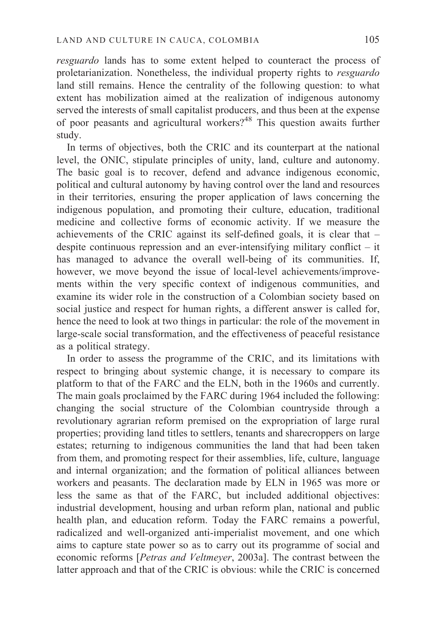resguardo lands has to some extent helped to counteract the process of proletarianization. Nonetheless, the individual property rights to resguardo land still remains. Hence the centrality of the following question: to what extent has mobilization aimed at the realization of indigenous autonomy served the interests of small capitalist producers, and thus been at the expense of poor peasants and agricultural workers?<sup>48</sup> This question awaits further study.

In terms of objectives, both the CRIC and its counterpart at the national level, the ONIC, stipulate principles of unity, land, culture and autonomy. The basic goal is to recover, defend and advance indigenous economic, political and cultural autonomy by having control over the land and resources in their territories, ensuring the proper application of laws concerning the indigenous population, and promoting their culture, education, traditional medicine and collective forms of economic activity. If we measure the achievements of the CRIC against its self-defined goals, it is clear that – despite continuous repression and an ever-intensifying military conflict – it has managed to advance the overall well-being of its communities. If, however, we move beyond the issue of local-level achievements/improvements within the very specific context of indigenous communities, and examine its wider role in the construction of a Colombian society based on social justice and respect for human rights, a different answer is called for, hence the need to look at two things in particular: the role of the movement in large-scale social transformation, and the effectiveness of peaceful resistance as a political strategy.

In order to assess the programme of the CRIC, and its limitations with respect to bringing about systemic change, it is necessary to compare its platform to that of the FARC and the ELN, both in the 1960s and currently. The main goals proclaimed by the FARC during 1964 included the following: changing the social structure of the Colombian countryside through a revolutionary agrarian reform premised on the expropriation of large rural properties; providing land titles to settlers, tenants and sharecroppers on large estates; returning to indigenous communities the land that had been taken from them, and promoting respect for their assemblies, life, culture, language and internal organization; and the formation of political alliances between workers and peasants. The declaration made by ELN in 1965 was more or less the same as that of the FARC, but included additional objectives: industrial development, housing and urban reform plan, national and public health plan, and education reform. Today the FARC remains a powerful, radicalized and well-organized anti-imperialist movement, and one which aims to capture state power so as to carry out its programme of social and economic reforms [Petras and Veltmeyer, 2003a]. The contrast between the latter approach and that of the CRIC is obvious: while the CRIC is concerned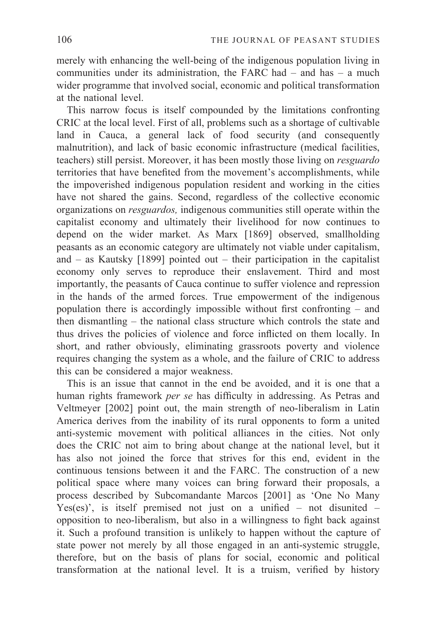merely with enhancing the well-being of the indigenous population living in communities under its administration, the FARC had – and has – a much wider programme that involved social, economic and political transformation at the national level.

This narrow focus is itself compounded by the limitations confronting CRIC at the local level. First of all, problems such as a shortage of cultivable land in Cauca, a general lack of food security (and consequently malnutrition), and lack of basic economic infrastructure (medical facilities, teachers) still persist. Moreover, it has been mostly those living on resguardo territories that have benefited from the movement's accomplishments, while the impoverished indigenous population resident and working in the cities have not shared the gains. Second, regardless of the collective economic organizations on resguardos, indigenous communities still operate within the capitalist economy and ultimately their livelihood for now continues to depend on the wider market. As Marx [1869] observed, smallholding peasants as an economic category are ultimately not viable under capitalism, and  $-$  as Kautsky [1899] pointed out  $-$  their participation in the capitalist economy only serves to reproduce their enslavement. Third and most importantly, the peasants of Cauca continue to suffer violence and repression in the hands of the armed forces. True empowerment of the indigenous population there is accordingly impossible without first confronting – and then dismantling – the national class structure which controls the state and thus drives the policies of violence and force inflicted on them locally. In short, and rather obviously, eliminating grassroots poverty and violence requires changing the system as a whole, and the failure of CRIC to address this can be considered a major weakness.

This is an issue that cannot in the end be avoided, and it is one that a human rights framework per se has difficulty in addressing. As Petras and Veltmeyer [2002] point out, the main strength of neo-liberalism in Latin America derives from the inability of its rural opponents to form a united anti-systemic movement with political alliances in the cities. Not only does the CRIC not aim to bring about change at the national level, but it has also not joined the force that strives for this end, evident in the continuous tensions between it and the FARC. The construction of a new political space where many voices can bring forward their proposals, a process described by Subcomandante Marcos [2001] as 'One No Many Yes(es)', is itself premised not just on a unified – not disunited – opposition to neo-liberalism, but also in a willingness to fight back against it. Such a profound transition is unlikely to happen without the capture of state power not merely by all those engaged in an anti-systemic struggle, therefore, but on the basis of plans for social, economic and political transformation at the national level. It is a truism, verified by history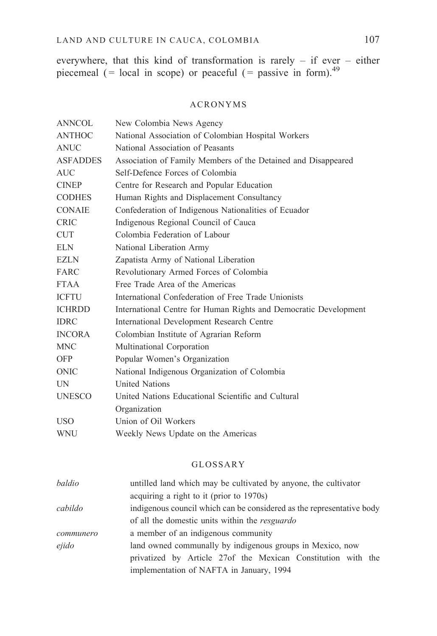everywhere, that this kind of transformation is rarely – if ever – either piecemeal ( $=$  local in scope) or peaceful ( $=$  passive in form).<sup>49</sup>

# ACRONYMS

| <b>ANNCOL</b>   | New Colombia News Agency                                         |
|-----------------|------------------------------------------------------------------|
| <b>ANTHOC</b>   | National Association of Colombian Hospital Workers               |
| <b>ANUC</b>     | National Association of Peasants                                 |
| <b>ASFADDES</b> | Association of Family Members of the Detained and Disappeared    |
| <b>AUC</b>      | Self-Defence Forces of Colombia                                  |
| <b>CINEP</b>    | Centre for Research and Popular Education                        |
| <b>CODHES</b>   | Human Rights and Displacement Consultancy                        |
| <b>CONAIE</b>   | Confederation of Indigenous Nationalities of Ecuador             |
| <b>CRIC</b>     | Indigenous Regional Council of Cauca                             |
| <b>CUT</b>      | Colombia Federation of Labour                                    |
| <b>ELN</b>      | National Liberation Army                                         |
| EZLN            | Zapatista Army of National Liberation                            |
| FARC            | Revolutionary Armed Forces of Colombia                           |
| <b>FTAA</b>     | Free Trade Area of the Americas                                  |
| <b>ICFTU</b>    | International Confederation of Free Trade Unionists              |
| <b>ICHRDD</b>   | International Centre for Human Rights and Democratic Development |
| <b>IDRC</b>     | International Development Research Centre                        |
| <b>INCORA</b>   | Colombian Institute of Agrarian Reform                           |
| <b>MNC</b>      | Multinational Corporation                                        |
| <b>OFP</b>      | Popular Women's Organization                                     |
| ONIC            | National Indigenous Organization of Colombia                     |
| UN              | <b>United Nations</b>                                            |
| <b>UNESCO</b>   | United Nations Educational Scientific and Cultural               |
|                 | Organization                                                     |
| USO <sub></sub> | Union of Oil Workers                                             |
| <b>WNU</b>      | Weekly News Update on the Americas                               |
|                 |                                                                  |

#### GLOSSARY

| baldio    | untilled land which may be cultivated by anyone, the cultivator       |
|-----------|-----------------------------------------------------------------------|
|           | acquiring a right to it (prior to 1970s)                              |
| cabildo   | indigenous council which can be considered as the representative body |
|           | of all the domestic units within the <i>resguardo</i>                 |
| communero | a member of an indigenous community                                   |
| ejido     | land owned communally by indigenous groups in Mexico, now             |
|           | privatized by Article 27 of the Mexican Constitution with the         |
|           | implementation of NAFTA in January, 1994                              |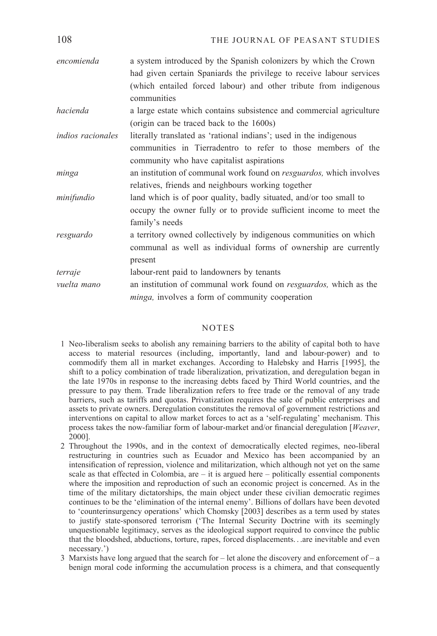| 108               | THE JOURNAL OF PEASANT STUDIES                                                                                                                                                                                              |
|-------------------|-----------------------------------------------------------------------------------------------------------------------------------------------------------------------------------------------------------------------------|
| encomienda        | a system introduced by the Spanish colonizers by which the Crown<br>had given certain Spaniards the privilege to receive labour services<br>(which entailed forced labour) and other tribute from indigenous<br>communities |
| hacienda          | a large estate which contains subsistence and commercial agriculture<br>(origin can be traced back to the 1600s)                                                                                                            |
| indios racionales | literally translated as 'rational indians'; used in the indigenous<br>communities in Tierradentro to refer to those members of the<br>community who have capitalist aspirations                                             |
| minga             | an institution of communal work found on <i>resguardos</i> , which involves<br>relatives, friends and neighbours working together                                                                                           |
| minifundio        | land which is of poor quality, badly situated, and/or too small to<br>occupy the owner fully or to provide sufficient income to meet the<br>family's needs                                                                  |
| resguardo         | a territory owned collectively by indigenous communities on which<br>communal as well as individual forms of ownership are currently<br>present                                                                             |
| terraje           | labour-rent paid to landowners by tenants                                                                                                                                                                                   |
| vuelta mano       | an institution of communal work found on <i>resguardos</i> , which as the<br><i>minga</i> , involves a form of community cooperation                                                                                        |

#### NOTES

- 1 Neo-liberalism seeks to abolish any remaining barriers to the ability of capital both to have access to material resources (including, importantly, land and labour-power) and to commodify them all in market exchanges. According to Halebsky and Harris [1995], the shift to a policy combination of trade liberalization, privatization, and deregulation began in the late 1970s in response to the increasing debts faced by Third World countries, and the pressure to pay them. Trade liberalization refers to free trade or the removal of any trade barriers, such as tariffs and quotas. Privatization requires the sale of public enterprises and assets to private owners. Deregulation constitutes the removal of government restrictions and interventions on capital to allow market forces to act as a 'self-regulating' mechanism. This process takes the now-familiar form of labour-market and/or financial deregulation [Weaver, 2000].
- 2 Throughout the 1990s, and in the context of democratically elected regimes, neo-liberal restructuring in countries such as Ecuador and Mexico has been accompanied by an intensification of repression, violence and militarization, which although not yet on the same scale as that effected in Colombia, are  $-$  it is argued here  $-$  politically essential components where the imposition and reproduction of such an economic project is concerned. As in the time of the military dictatorships, the main object under these civilian democratic regimes continues to be the 'elimination of the internal enemy'. Billions of dollars have been devoted to 'counterinsurgency operations' which Chomsky [2003] describes as a term used by states to justify state-sponsored terrorism ('The Internal Security Doctrine with its seemingly unquestionable legitimacy, serves as the ideological support required to convince the public that the bloodshed, abductions, torture, rapes, forced displacements. . .are inevitable and even necessary.')
- 3 Marxists have long argued that the search for let alone the discovery and enforcement of a benign moral code informing the accumulation process is a chimera, and that consequently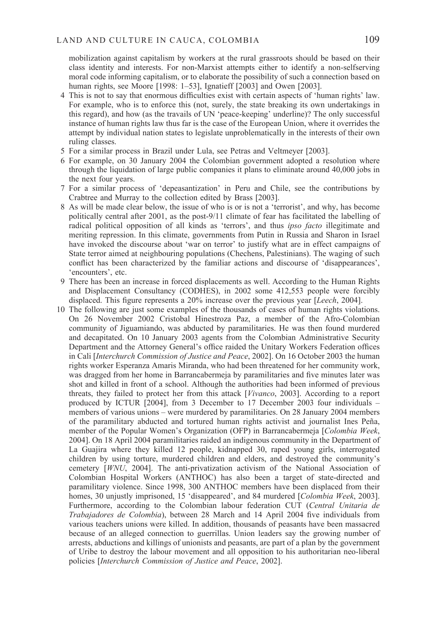mobilization against capitalism by workers at the rural grassroots should be based on their class identity and interests. For non-Marxist attempts either to identify a non-selfserving moral code informing capitalism, or to elaborate the possibility of such a connection based on human rights, see Moore [1998: 1–53], Ignatieff [2003] and Owen [2003].

- 4 This is not to say that enormous difficulties exist with certain aspects of 'human rights' law. For example, who is to enforce this (not, surely, the state breaking its own undertakings in this regard), and how (as the travails of UN 'peace-keeping' underline)? The only successful instance of human rights law thus far is the case of the European Union, where it overrides the attempt by individual nation states to legislate unproblematically in the interests of their own ruling classes.
- 5 For a similar process in Brazil under Lula, see Petras and Veltmeyer [2003].
- 6 For example, on 30 January 2004 the Colombian government adopted a resolution where through the liquidation of large public companies it plans to eliminate around 40,000 jobs in the next four years.
- 7 For a similar process of 'depeasantization' in Peru and Chile, see the contributions by Crabtree and Murray to the collection edited by Brass [2003].
- 8 As will be made clear below, the issue of who is or is not a 'terrorist', and why, has become politically central after 2001, as the post-9/11 climate of fear has facilitated the labelling of radical political opposition of all kinds as 'terrors', and thus ipso facto illegitimate and meriting repression. In this climate, governments from Putin in Russia and Sharon in Israel have invoked the discourse about 'war on terror' to justify what are in effect campaigns of State terror aimed at neighbouring populations (Chechens, Palestinians). The waging of such conflict has been characterized by the familiar actions and discourse of 'disappearances', 'encounters', etc.
- 9 There has been an increase in forced displacements as well. According to the Human Rights and Displacement Consultancy (CODHES), in 2002 some 412,553 people were forcibly displaced. This figure represents a 20% increase over the previous year [Leech, 2004].
- 10 The following are just some examples of the thousands of cases of human rights violations. On 26 November 2002 Cristobal Hinestroza Paz, a member of the Afro-Colombian community of Jiguamiando, was abducted by paramilitaries. He was then found murdered and decapitated. On 10 January 2003 agents from the Colombian Administrative Security Department and the Attorney General's office raided the Unitary Workers Federation offices in Cali [Interchurch Commission of Justice and Peace, 2002]. On 16 October 2003 the human rights worker Esperanza Amaris Miranda, who had been threatened for her community work, was dragged from her home in Barrancabermeja by paramilitaries and five minutes later was shot and killed in front of a school. Although the authorities had been informed of previous threats, they failed to protect her from this attack [Vivanco, 2003]. According to a report produced by ICTUR [2004], from 3 December to 17 December 2003 four individuals – members of various unions – were murdered by paramilitaries. On 28 January 2004 members of the paramilitary abducted and tortured human rights activist and journalist Ines Peña, member of the Popular Women's Organization (OFP) in Barrancabermeja [Colombia Week, 2004]. On 18 April 2004 paramilitaries raided an indigenous community in the Department of La Guajira where they killed 12 people, kidnapped 30, raped young girls, interrogated children by using torture, murdered children and elders, and destroyed the community's cemetery [WNU, 2004]. The anti-privatization activism of the National Association of Colombian Hospital Workers (ANTHOC) has also been a target of state-directed and paramilitary violence. Since 1998, 300 ANTHOC members have been displaced from their homes, 30 unjustly imprisoned, 15 'disappeared', and 84 murdered [*Colombia Week*, 2003]. Furthermore, according to the Colombian labour federation CUT (Central Unitaria de Trabajadores de Colombia), between 28 March and 14 April 2004 five individuals from various teachers unions were killed. In addition, thousands of peasants have been massacred because of an alleged connection to guerrillas. Union leaders say the growing number of arrests, abductions and killings of unionists and peasants, are part of a plan by the government of Uribe to destroy the labour movement and all opposition to his authoritarian neo-liberal policies [Interchurch Commission of Justice and Peace, 2002].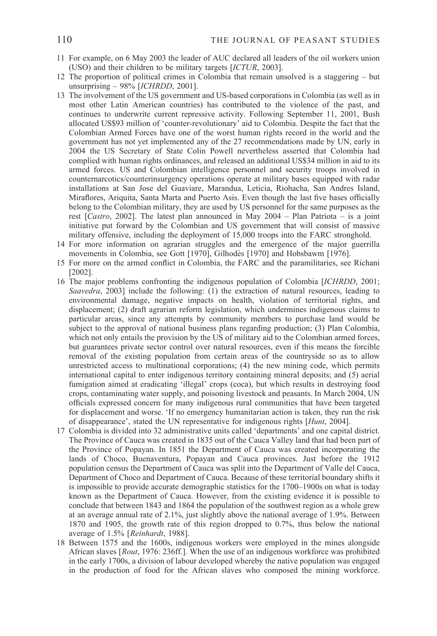- 11 For example, on 6 May 2003 the leader of AUC declared all leaders of the oil workers union (USO) and their children to be military targets [ICTUR, 2003].
- 12 The proportion of political crimes in Colombia that remain unsolved is a staggering but unsurprising  $-98\%$  [ICHRDD, 2001].
- 13 The involvement of the US government and US-based corporations in Colombia (as well as in most other Latin American countries) has contributed to the violence of the past, and continues to underwrite current repressive activity. Following September 11, 2001, Bush allocated US\$93 million of 'counter-revolutionary' aid to Colombia. Despite the fact that the Colombian Armed Forces have one of the worst human rights record in the world and the government has not yet implemented any of the 27 recommendations made by UN, early in 2004 the US Secretary of State Colin Powell nevertheless asserted that Colombia had complied with human rights ordinances, and released an additional US\$34 million in aid to its armed forces. US and Colombian intelligence personnel and security troops involved in counternarcotics/counterinsurgency operations operate at military bases equipped with radar installations at San Jose del Guaviare, Marandua, Leticia, Riohacha, San Andres Island, Miraflores, Ariquita, Santa Marta and Puerto Asis. Even though the last five bases officially belong to the Colombian military, they are used by US personnel for the same purposes as the rest  $[Castro, 2002]$ . The latest plan announced in May 2004 – Plan Patriota – is a joint initiative put forward by the Colombian and US government that will consist of massive military offensive, including the deployment of 15,000 troops into the FARC stronghold.
- 14 For more information on agrarian struggles and the emergence of the major guerrilla movements in Colombia, see Gott [1970], Gilhodès [1970] and Hobsbawm [1976].
- 15 For more on the armed conflict in Colombia, the FARC and the paramilitaries, see Richani [2002].
- 16 The major problems confronting the indigenous population of Colombia [ICHRDD, 2001; Saavedra, 2003] include the following: (1) the extraction of natural resources, leading to environmental damage, negative impacts on health, violation of territorial rights, and displacement; (2) draft agrarian reform legislation, which undermines indigenous claims to particular areas, since any attempts by community members to purchase land would be subject to the approval of national business plans regarding production; (3) Plan Colombia, which not only entails the provision by the US of military aid to the Colombian armed forces, but guarantees private sector control over natural resources, even if this means the forcible removal of the existing population from certain areas of the countryside so as to allow unrestricted access to multinational corporations; (4) the new mining code, which permits international capital to enter indigenous territory containing mineral deposits; and (5) aerial fumigation aimed at eradicating 'illegal' crops (coca), but which results in destroying food crops, contaminating water supply, and poisoning livestock and peasants. In March 2004, UN officials expressed concern for many indigenous rural communities that have been targeted for displacement and worse. 'If no emergency humanitarian action is taken, they run the risk of disappearance', stated the UN representative for indigenous rights [Hunt, 2004].
- 17 Colombia is divided into 32 administrative units called 'departments' and one capital district. The Province of Cauca was created in 1835 out of the Cauca Valley land that had been part of the Province of Popayan. In 1851 the Department of Cauca was created incorporating the lands of Choco, Buenaventura, Popayan and Cauca provinces. Just before the 1912 population census the Department of Cauca was split into the Department of Valle del Cauca, Department of Choco and Department of Cauca. Because of these territorial boundary shifts it is impossible to provide accurate demographic statistics for the 1700–1900s on what is today known as the Department of Cauca. However, from the existing evidence it is possible to conclude that between 1843 and 1864 the population of the southwest region as a whole grew at an average annual rate of 2.1%, just slightly above the national average of 1.9%. Between 1870 and 1905, the growth rate of this region dropped to 0.7%, thus below the national average of 1.5% [Reinhardt, 1988].
- 18 Between 1575 and the 1600s, indigenous workers were employed in the mines alongside African slaves [Rout, 1976: 236ff.]. When the use of an indigenous workforce was prohibited in the early 1700s, a division of labour developed whereby the native population was engaged in the production of food for the African slaves who composed the mining workforce.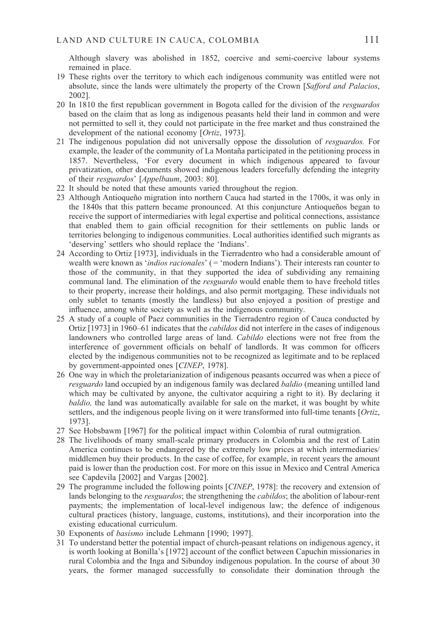Although slavery was abolished in 1852, coercive and semi-coercive labour systems remained in place.

- 19 These rights over the territory to which each indigenous community was entitled were not absolute, since the lands were ultimately the property of the Crown [Safford and Palacios, 2002].
- 20 In 1810 the first republican government in Bogota called for the division of the resguardos based on the claim that as long as indigenous peasants held their land in common and were not permitted to sell it, they could not participate in the free market and thus constrained the development of the national economy [Ortiz, 1973].
- 21 The indigenous population did not universally oppose the dissolution of *resguardos*. For example, the leader of the community of La Montaña participated in the petitioning process in 1857. Nevertheless, 'For every document in which indigenous appeared to favour privatization, other documents showed indigenous leaders forcefully defending the integrity of their resguardos' [Appelbaum, 2003: 80].
- 22 It should be noted that these amounts varied throughout the region.
- 23 Although Antioqueño migration into northern Cauca had started in the 1700s, it was only in the 1840s that this pattern became pronounced. At this conjuncture Antioquenos began to receive the support of intermediaries with legal expertise and political connections, assistance that enabled them to gain official recognition for their settlements on public lands or territories belonging to indigenous communities. Local authorities identified such migrants as 'deserving' settlers who should replace the 'Indians'.
- 24 According to Ortiz [1973], individuals in the Tierradentro who had a considerable amount of wealth were known as '*indios racionales*' (= 'modern Indians'). Their interests ran counter to those of the community, in that they supported the idea of subdividing any remaining communal land. The elimination of the *resguardo* would enable them to have freehold titles to their property, increase their holdings, and also permit mortgaging. These individuals not only sublet to tenants (mostly the landless) but also enjoyed a position of prestige and influence, among white society as well as the indigenous community.
- 25 A study of a couple of Paez communities in the Tierradentro region of Cauca conducted by Ortiz [1973] in 1960–61 indicates that the *cabildos* did not interfere in the cases of indigenous landowners who controlled large areas of land. Cabildo elections were not free from the interference of government officials on behalf of landlords. It was common for officers elected by the indigenous communities not to be recognized as legitimate and to be replaced by government-appointed ones [CINEP, 1978].
- 26 One way in which the proletarianization of indigenous peasants occurred was when a piece of resguardo land occupied by an indigenous family was declared *baldio* (meaning untilled land which may be cultivated by anyone, the cultivator acquiring a right to it). By declaring it baldio, the land was automatically available for sale on the market, it was bought by white settlers, and the indigenous people living on it were transformed into full-time tenants [Ortiz, 1973].
- 27 See Hobsbawm [1967] for the political impact within Colombia of rural outmigration.
- 28 The livelihoods of many small-scale primary producers in Colombia and the rest of Latin America continues to be endangered by the extremely low prices at which intermediaries/ middlemen buy their products. In the case of coffee, for example, in recent years the amount paid is lower than the production cost. For more on this issue in Mexico and Central America see Capdevila [2002] and Vargas [2002].
- 29 The programme included the following points [CINEP, 1978]: the recovery and extension of lands belonging to the *resguardos*; the strengthening the *cabildos*; the abolition of labour-rent payments; the implementation of local-level indigenous law; the defence of indigenous cultural practices (history, language, customs, institutions), and their incorporation into the existing educational curriculum.
- 30 Exponents of *basismo* include Lehmann [1990; 1997].
- 31 To understand better the potential impact of church-peasant relations on indigenous agency, it is worth looking at Bonilla's [1972] account of the conflict between Capuchin missionaries in rural Colombia and the Inga and Sibundoy indigenous population. In the course of about 30 years, the former managed successfully to consolidate their domination through the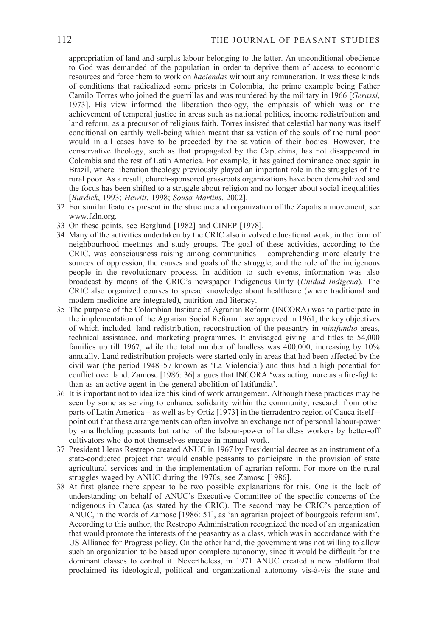appropriation of land and surplus labour belonging to the latter. An unconditional obedience to God was demanded of the population in order to deprive them of access to economic resources and force them to work on haciendas without any remuneration. It was these kinds of conditions that radicalized some priests in Colombia, the prime example being Father Camilo Torres who joined the guerrillas and was murdered by the military in 1966 [Gerassi, 1973]. His view informed the liberation theology, the emphasis of which was on the achievement of temporal justice in areas such as national politics, income redistribution and land reform, as a precursor of religious faith. Torres insisted that celestial harmony was itself conditional on earthly well-being which meant that salvation of the souls of the rural poor would in all cases have to be preceded by the salvation of their bodies. However, the conservative theology, such as that propagated by the Capuchins, has not disappeared in Colombia and the rest of Latin America. For example, it has gained dominance once again in Brazil, where liberation theology previously played an important role in the struggles of the rural poor. As a result, church-sponsored grassroots organizations have been demobilized and the focus has been shifted to a struggle about religion and no longer about social inequalities [Burdick, 1993; Hewitt, 1998; Sousa Martins, 2002].

- 32 For similar features present in the structure and organization of the Zapatista movement, see www.fzln.org.
- 33 On these points, see Berglund [1982] and CINEP [1978].
- 34 Many of the activities undertaken by the CRIC also involved educational work, in the form of neighbourhood meetings and study groups. The goal of these activities, according to the CRIC, was consciousness raising among communities – comprehending more clearly the sources of oppression, the causes and goals of the struggle, and the role of the indigenous people in the revolutionary process. In addition to such events, information was also broadcast by means of the CRIC's newspaper Indigenous Unity (Unidad Indigena). The CRIC also organized courses to spread knowledge about healthcare (where traditional and modern medicine are integrated), nutrition and literacy.
- 35 The purpose of the Colombian Institute of Agrarian Reform (INCORA) was to participate in the implementation of the Agrarian Social Reform Law approved in 1961, the key objectives of which included: land redistribution, reconstruction of the peasantry in minifundio areas, technical assistance, and marketing programmes. It envisaged giving land titles to 54,000 families up till 1967, while the total number of landless was 400,000, increasing by 10% annually. Land redistribution projects were started only in areas that had been affected by the civil war (the period 1948–57 known as 'La Violencia') and thus had a high potential for conflict over land. Zamosc [1986: 36] argues that INCORA 'was acting more as a fire-fighter than as an active agent in the general abolition of latifundia'.
- 36 It is important not to idealize this kind of work arrangement. Although these practices may be seen by some as serving to enhance solidarity within the community, research from other parts of Latin America – as well as by Ortiz [1973] in the tierradentro region of Cauca itself – point out that these arrangements can often involve an exchange not of personal labour-power by smallholding peasants but rather of the labour-power of landless workers by better-off cultivators who do not themselves engage in manual work.
- 37 President Lleras Restrepo created ANUC in 1967 by Presidential decree as an instrument of a state-conducted project that would enable peasants to participate in the provision of state agricultural services and in the implementation of agrarian reform. For more on the rural struggles waged by ANUC during the 1970s, see Zamosc [1986].
- 38 At first glance there appear to be two possible explanations for this. One is the lack of understanding on behalf of ANUC's Executive Committee of the specific concerns of the indigenous in Cauca (as stated by the CRIC). The second may be CRIC's perception of ANUC, in the words of Zamosc [1986: 51], as 'an agrarian project of bourgeois reformism'. According to this author, the Restrepo Administration recognized the need of an organization that would promote the interests of the peasantry as a class, which was in accordance with the US Alliance for Progress policy. On the other hand, the government was not willing to allow such an organization to be based upon complete autonomy, since it would be difficult for the dominant classes to control it. Nevertheless, in 1971 ANUC created a new platform that proclaimed its ideological, political and organizational autonomy vis- $\dot{a}$ -vis the state and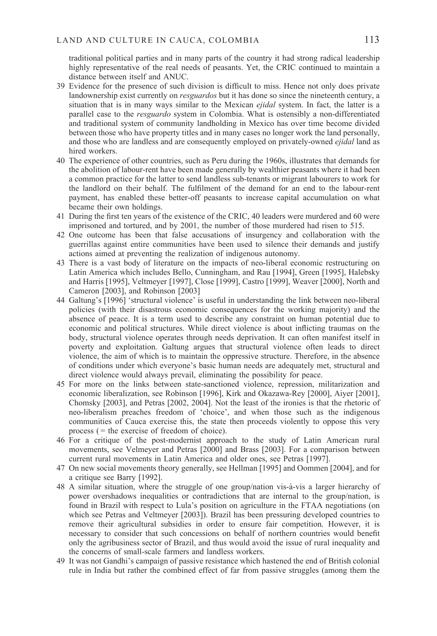traditional political parties and in many parts of the country it had strong radical leadership highly representative of the real needs of peasants. Yet, the CRIC continued to maintain a distance between itself and ANUC.

- 39 Evidence for the presence of such division is difficult to miss. Hence not only does private landownership exist currently on *resguardos* but it has done so since the nineteenth century, a situation that is in many ways similar to the Mexican *ejidal* system. In fact, the latter is a parallel case to the resguardo system in Colombia. What is ostensibly a non-differentiated and traditional system of community landholding in Mexico has over time become divided between those who have property titles and in many cases no longer work the land personally, and those who are landless and are consequently employed on privately-owned ejidal land as hired workers.
- 40 The experience of other countries, such as Peru during the 1960s, illustrates that demands for the abolition of labour-rent have been made generally by wealthier peasants where it had been a common practice for the latter to send landless sub-tenants or migrant labourers to work for the landlord on their behalf. The fulfilment of the demand for an end to the labour-rent payment, has enabled these better-off peasants to increase capital accumulation on what became their own holdings.
- 41 During the first ten years of the existence of the CRIC, 40 leaders were murdered and 60 were imprisoned and tortured, and by 2001, the number of those murdered had risen to 515.
- 42 One outcome has been that false accusations of insurgency and collaboration with the guerrillas against entire communities have been used to silence their demands and justify actions aimed at preventing the realization of indigenous autonomy.
- 43 There is a vast body of literature on the impacts of neo-liberal economic restructuring on Latin America which includes Bello, Cunningham, and Rau [1994], Green [1995], Halebsky and Harris [1995], Veltmeyer [1997], Close [1999], Castro [1999], Weaver [2000], North and Cameron [2003], and Robinson [2003]
- 44 Galtung's [1996] 'structural violence' is useful in understanding the link between neo-liberal policies (with their disastrous economic consequences for the working majority) and the absence of peace. It is a term used to describe any constraint on human potential due to economic and political structures. While direct violence is about inflicting traumas on the body, structural violence operates through needs deprivation. It can often manifest itself in poverty and exploitation. Galtung argues that structural violence often leads to direct violence, the aim of which is to maintain the oppressive structure. Therefore, in the absence of conditions under which everyone's basic human needs are adequately met, structural and direct violence would always prevail, eliminating the possibility for peace.
- 45 For more on the links between state-sanctioned violence, repression, militarization and economic liberalization, see Robinson [1996], Kirk and Okazawa-Rey [2000], Aiyer [2001], Chomsky [2003], and Petras [2002, 2004]. Not the least of the ironies is that the rhetoric of neo-liberalism preaches freedom of 'choice', and when those such as the indigenous communities of Cauca exercise this, the state then proceeds violently to oppose this very process  $($  = the exercise of freedom of choice).
- 46 For a critique of the post-modernist approach to the study of Latin American rural movements, see Velmeyer and Petras [2000] and Brass [2003]. For a comparison between current rural movements in Latin America and older ones, see Petras [1997].
- 47 On new social movements theory generally, see Hellman [1995] and Oommen [2004], and for a critique see Barry [1992].
- 48 A similar situation, where the struggle of one group/nation vis-a`-vis a larger hierarchy of power overshadows inequalities or contradictions that are internal to the group/nation, is found in Brazil with respect to Lula's position on agriculture in the FTAA negotiations (on which see Petras and Veltmeyer [2003]). Brazil has been pressuring developed countries to remove their agricultural subsidies in order to ensure fair competition. However, it is necessary to consider that such concessions on behalf of northern countries would benefit only the agribusiness sector of Brazil, and thus would avoid the issue of rural inequality and the concerns of small-scale farmers and landless workers.
- 49 It was not Gandhi's campaign of passive resistance which hastened the end of British colonial rule in India but rather the combined effect of far from passive struggles (among them the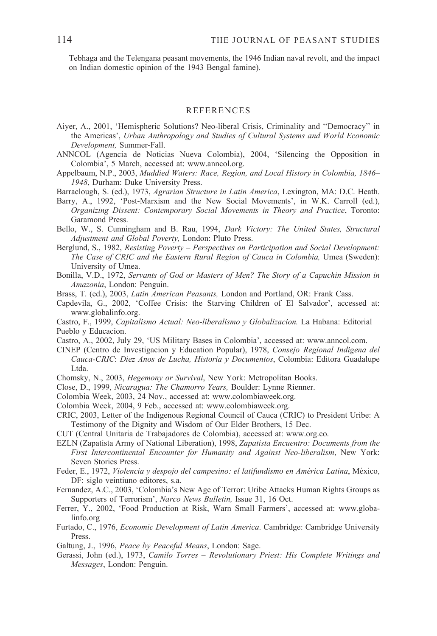Tebhaga and the Telengana peasant movements, the 1946 Indian naval revolt, and the impact on Indian domestic opinion of the 1943 Bengal famine).

#### REFERENCES

- Aiyer, A., 2001, 'Hemispheric Solutions? Neo-liberal Crisis, Criminality and ''Democracy'' in the Americas', Urban Anthropology and Studies of Cultural Systems and World Economic Development, Summer-Fall.
- ANNCOL (Agencia de Noticias Nueva Colombia), 2004, 'Silencing the Opposition in Colombia', 5 March, accessed at: www.anncol.org.
- Appelbaum, N.P., 2003, Muddied Waters: Race, Region, and Local History in Colombia, 1846– 1948, Durham: Duke University Press.
- Barraclough, S. (ed.), 1973, Agrarian Structure in Latin America, Lexington, MA: D.C. Heath.
- Barry, A., 1992, 'Post-Marxism and the New Social Movements', in W.K. Carroll (ed.), Organizing Dissent: Contemporary Social Movements in Theory and Practice, Toronto: Garamond Press.
- Bello, W., S. Cunningham and B. Rau, 1994, Dark Victory: The United States, Structural Adjustment and Global Poverty, London: Pluto Press.
- Berglund, S., 1982, Resisting Poverty Perspectives on Participation and Social Development: The Case of CRIC and the Eastern Rural Region of Cauca in Colombia, Umea (Sweden): University of Umea.
- Bonilla, V.D., 1972, Servants of God or Masters of Men? The Story of a Capuchin Mission in Amazonia, London: Penguin.
- Brass, T. (ed.), 2003, *Latin American Peasants*, London and Portland, OR: Frank Cass.
- Capdevila, G., 2002, 'Coffee Crisis: the Starving Children of El Salvador', accessed at: www.globalinfo.org.
- Castro, F., 1999, Capitalismo Actual: Neo-liberalismo y Globalizacion. La Habana: Editorial Pueblo y Educacion.
- Castro, A., 2002, July 29, 'US Military Bases in Colombia', accessed at: www.anncol.com.
- CINEP (Centro de Investigacion y Education Popular), 1978, Consejo Regional Indigena del Cauca-CRIC: Diez Anos de Lucha, Historia y Documentos, Colombia: Editora Guadalupe Ltda.
- Chomsky, N., 2003, Hegemony or Survival, New York: Metropolitan Books.
- Close, D., 1999, Nicaragua: The Chamorro Years, Boulder: Lynne Rienner.
- Colombia Week, 2003, 24 Nov., accessed at: www.colombiaweek.org.
- Colombia Week, 2004, 9 Feb., accessed at: www.colombiaweek.org.
- CRIC, 2003, Letter of the Indigenous Regional Council of Cauca (CRIC) to President Uribe: A Testimony of the Dignity and Wisdom of Our Elder Brothers, 15 Dec.
- CUT (Central Unitaria de Trabajadores de Colombia), accessed at: www.org.co.
- EZLN (Zapatista Army of National Liberation), 1998, Zapatista Encuentro: Documents from the First Intercontinental Encounter for Humanity and Against Neo-liberalism, New York: Seven Stories Press.
- Feder, E., 1972, Violencia y despojo del campesino: el latifundismo en América Latina, México, DF: siglo veintiuno editores, s.a.
- Fernandez, A.C., 2003, 'Colombia's New Age of Terror: Uribe Attacks Human Rights Groups as Supporters of Terrorism', Narco News Bulletin, Issue 31, 16 Oct.
- Ferrer, Y., 2002, 'Food Production at Risk, Warn Small Farmers', accessed at: www.globalinfo.org
- Furtado, C., 1976, *Economic Development of Latin America*. Cambridge: Cambridge University Press.
- Galtung, J., 1996, Peace by Peaceful Means, London: Sage.
- Gerassi, John (ed.), 1973, Camilo Torres Revolutionary Priest: His Complete Writings and Messages, London: Penguin.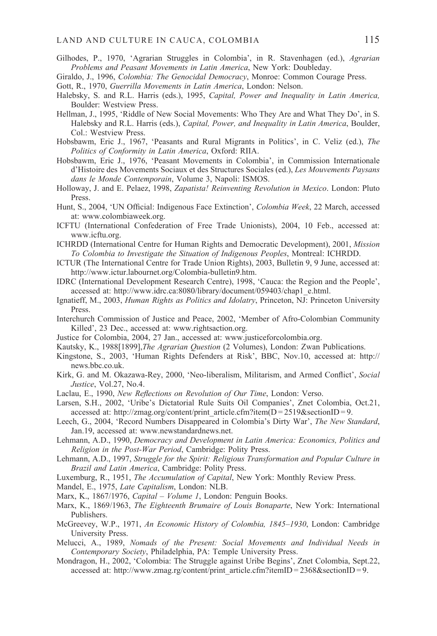- Gilhodes, P., 1970, 'Agrarian Struggles in Colombia', in R. Stavenhagen (ed.), Agrarian Problems and Peasant Movements in Latin America, New York: Doubleday.
- Giraldo, J., 1996, Colombia: The Genocidal Democracy, Monroe: Common Courage Press.
- Gott, R., 1970, Guerrilla Movements in Latin America, London: Nelson.
- Halebsky, S. and R.L. Harris (eds.), 1995, Capital, Power and Inequality in Latin America, Boulder: Westview Press.
- Hellman, J., 1995, 'Riddle of New Social Movements: Who They Are and What They Do', in S. Halebsky and R.L. Harris (eds.), Capital, Power, and Inequality in Latin America, Boulder, Col.: Westview Press.
- Hobsbawm, Eric J., 1967, 'Peasants and Rural Migrants in Politics', in C. Veliz (ed.), The Politics of Conformity in Latin America, Oxford: RIIA.
- Hobsbawm, Eric J., 1976, 'Peasant Movements in Colombia', in Commission Internationale d'Histoire des Movements Sociaux et des Structures Sociales (ed.), Les Mouvements Paysans dans le Monde Contemporain, Volume 3, Napoli: ISMOS.
- Holloway, J. and E. Pelaez, 1998, Zapatista! Reinventing Revolution in Mexico. London: Pluto Press.
- Hunt, S., 2004, 'UN Official: Indigenous Face Extinction', Colombia Week, 22 March, accessed at: www.colombiaweek.org.
- ICFTU (International Confederation of Free Trade Unionists), 2004, 10 Feb., accessed at: www.icftu.org.
- ICHRDD (International Centre for Human Rights and Democratic Development), 2001, Mission To Colombia to Investigate the Situation of Indigenous Peoples, Montreal: ICHRDD.
- ICTUR (The International Centre for Trade Union Rights), 2003, Bulletin 9, 9 June, accessed at: http://www.ictur.labournet.org/Colombia-bulletin9.htm.
- IDRC (International Development Research Centre), 1998, 'Cauca: the Region and the People', accessed at: http://www.idrc.ca:8080/library/document/059403/chap1\_e.html.
- Ignatieff, M., 2003, Human Rights as Politics and Idolatry, Princeton, NJ: Princeton University Press.
- Interchurch Commission of Justice and Peace, 2002, 'Member of Afro-Colombian Community Killed', 23 Dec., accessed at: www.rightsaction.org.
- Justice for Colombia, 2004, 27 Jan., accessed at: www.justiceforcolombia.org.
- Kautsky, K., 1988[1899], The Agrarian Question (2 Volumes), London: Zwan Publications.
- Kingstone, S., 2003, 'Human Rights Defenders at Risk', BBC, Nov.10, accessed at: http:// news.bbc.co.uk.
- Kirk, G. and M. Okazawa-Rey, 2000, 'Neo-liberalism, Militarism, and Armed Conflict', Social Justice, Vol.27, No.4.
- Laclau, E., 1990, New Reflections on Revolution of Our Time, London: Verso.
- Larsen, S.H., 2002, 'Uribe's Dictatorial Rule Suits Oil Companies', Znet Colombia, Oct.21, accessed at: http://zmag.org/content/print\_article.cfm?item(D = 2519&sectionID = 9.
- Leech, G., 2004, 'Record Numbers Disappeared in Colombia's Dirty War', The New Standard, Jan.19, accessed at: www.newstandardnews.net.

Lehmann, A.D., 1990, Democracy and Development in Latin America: Economics, Politics and Religion in the Post-War Period, Cambridge: Polity Press.

- Lehmann, A.D., 1997, Struggle for the Spirit: Religious Transformation and Popular Culture in Brazil and Latin America, Cambridge: Polity Press.
- Luxemburg, R., 1951, The Accumulation of Capital, New York: Monthly Review Press.
- Mandel, E., 1975, Late Capitalism, London: NLB.
- Marx, K., 1867/1976, Capital Volume 1, London: Penguin Books.
- Marx, K., 1869/1963, The Eighteenth Brumaire of Louis Bonaparte, New York: International Publishers.
- McGreevey, W.P., 1971, An Economic History of Colombia, 1845–1930, London: Cambridge University Press.
- Melucci, A., 1989, Nomads of the Present: Social Movements and Individual Needs in Contemporary Society, Philadelphia, PA: Temple University Press.
- Mondragon, H., 2002, 'Colombia: The Struggle against Uribe Begins', Znet Colombia, Sept.22, accessed at: http://www.zmag.rg/content/print\_article.cfm?itemID =  $2368$ &sectionID = 9.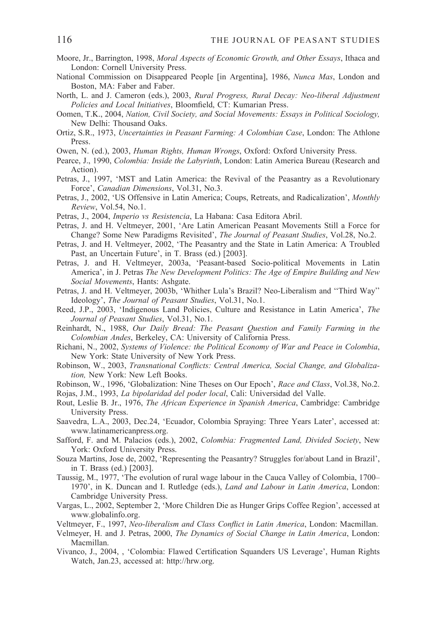- Moore, Jr., Barrington, 1998, Moral Aspects of Economic Growth, and Other Essays, Ithaca and London: Cornell University Press.
- National Commission on Disappeared People [in Argentina], 1986, Nunca Mas, London and Boston, MA: Faber and Faber.
- North, L. and J. Cameron (eds.), 2003, Rural Progress, Rural Decay: Neo-liberal Adjustment Policies and Local Initiatives, Bloomfield, CT: Kumarian Press.
- Oomen, T.K., 2004, Nation, Civil Society, and Social Movements: Essays in Political Sociology, New Delhi: Thousand Oaks.
- Ortiz, S.R., 1973, Uncertainties in Peasant Farming: A Colombian Case, London: The Athlone Press.
- Owen, N. (ed.), 2003, Human Rights, Human Wrongs, Oxford: Oxford University Press.
- Pearce, J., 1990, *Colombia: Inside the Labyrinth*, London: Latin America Bureau (Research and Action).
- Petras, J., 1997, 'MST and Latin America: the Revival of the Peasantry as a Revolutionary Force', Canadian Dimensions, Vol.31, No.3.
- Petras, J., 2002, 'US Offensive in Latin America; Coups, Retreats, and Radicalization', Monthly Review, Vol.54, No.1.
- Petras, J., 2004, Imperio vs Resistencia, La Habana: Casa Editora Abril.
- Petras, J. and H. Veltmeyer, 2001, 'Are Latin American Peasant Movements Still a Force for Change? Some New Paradigms Revisited', The Journal of Peasant Studies, Vol.28, No.2.
- Petras, J. and H. Veltmeyer, 2002, 'The Peasantry and the State in Latin America: A Troubled Past, an Uncertain Future', in T. Brass (ed.) [2003].
- Petras, J. and H. Veltmeyer, 2003a, 'Peasant-based Socio-political Movements in Latin America', in J. Petras The New Development Politics: The Age of Empire Building and New Social Movements, Hants: Ashgate.
- Petras, J. and H. Veltmeyer, 2003b, 'Whither Lula's Brazil? Neo-Liberalism and ''Third Way'' Ideology', The Journal of Peasant Studies, Vol.31, No.1.
- Reed, J.P., 2003, 'Indigenous Land Policies, Culture and Resistance in Latin America', The Journal of Peasant Studies, Vol.31, No.1.
- Reinhardt, N., 1988, Our Daily Bread: The Peasant Question and Family Farming in the Colombian Andes, Berkeley, CA: University of California Press.
- Richani, N., 2002, Systems of Violence: the Political Economy of War and Peace in Colombia, New York: State University of New York Press.
- Robinson, W., 2003, Transnational Conflicts: Central America, Social Change, and Globalization, New York: New Left Books.
- Robinson, W., 1996, 'Globalization: Nine Theses on Our Epoch', *Race and Class*, Vol.38, No.2. Rojas, J.M., 1993, La bipolaridad del poder local, Cali: Universidad del Valle.
- Rout, Leslie B. Jr., 1976, The African Experience in Spanish America, Cambridge: Cambridge University Press.
- Saavedra, L.A., 2003, Dec.24, 'Ecuador, Colombia Spraying: Three Years Later', accessed at: www.latinamericanpress.org.
- Safford, F. and M. Palacios (eds.), 2002, Colombia: Fragmented Land, Divided Society, New York: Oxford University Press.
- Souza Martins, Jose de, 2002, 'Representing the Peasantry? Struggles for/about Land in Brazil', in T. Brass (ed.) [2003].
- Taussig, M., 1977, 'The evolution of rural wage labour in the Cauca Valley of Colombia, 1700– 1970', in K. Duncan and I. Rutledge (eds.), *Land and Labour in Latin America*, London: Cambridge University Press.
- Vargas, L., 2002, September 2, 'More Children Die as Hunger Grips Coffee Region', accessed at www.globalinfo.org.
- Veltmeyer, F., 1997, Neo-liberalism and Class Conflict in Latin America, London: Macmillan.
- Velmeyer, H. and J. Petras, 2000, The Dynamics of Social Change in Latin America, London: Macmillan.
- Vivanco, J., 2004, , 'Colombia: Flawed Certification Squanders US Leverage', Human Rights Watch, Jan.23, accessed at: http://hrw.org.